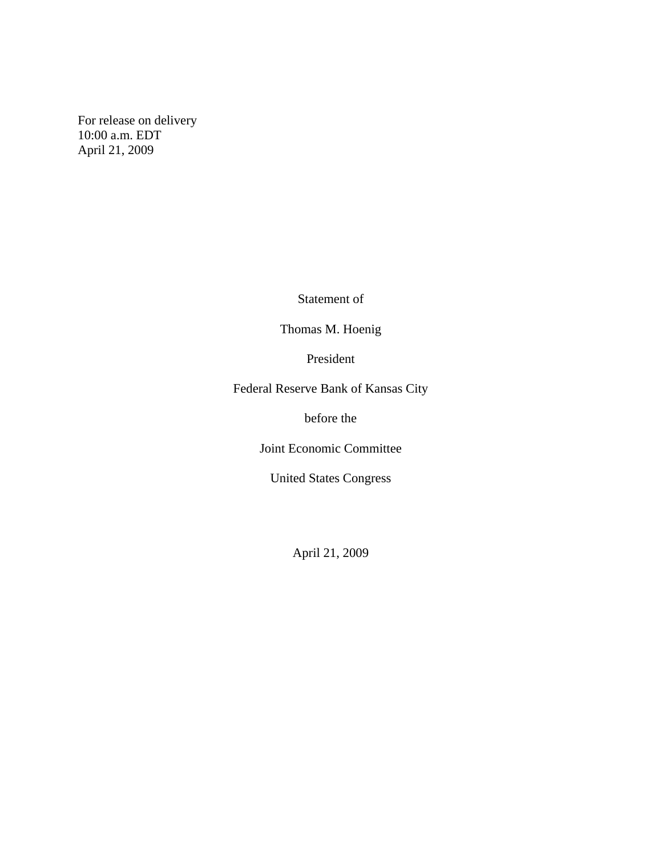For release on delivery 10:00 a.m. EDT April 21, 2009

Statement of

Thomas M. Hoenig

President

Federal Reserve Bank of Kansas City

before the

Joint Economic Committee

United States Congress

April 21, 2009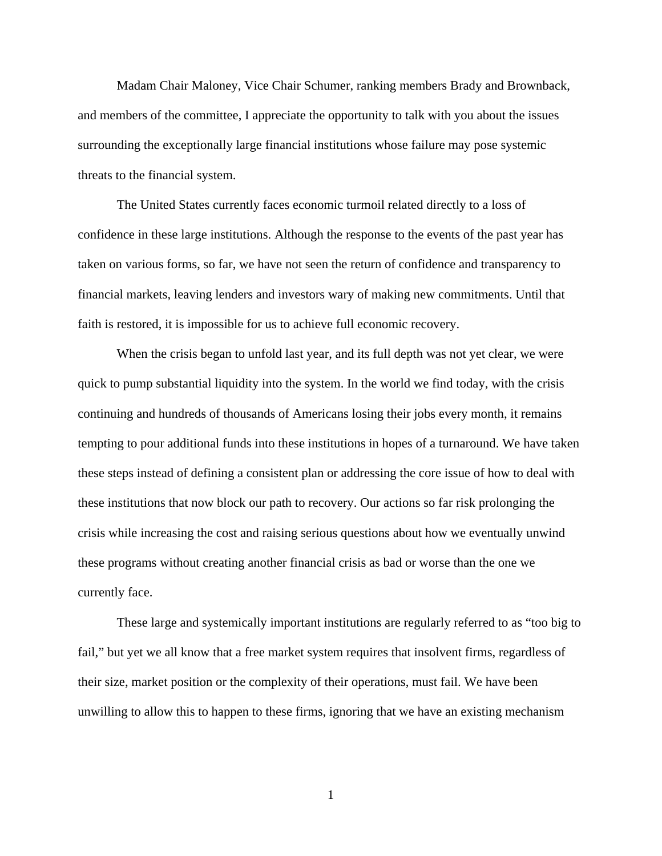Madam Chair Maloney, Vice Chair Schumer, ranking members Brady and Brownback, and members of the committee, I appreciate the opportunity to talk with you about the issues surrounding the exceptionally large financial institutions whose failure may pose systemic threats to the financial system.

The United States currently faces economic turmoil related directly to a loss of confidence in these large institutions. Although the response to the events of the past year has taken on various forms, so far, we have not seen the return of confidence and transparency to financial markets, leaving lenders and investors wary of making new commitments. Until that faith is restored, it is impossible for us to achieve full economic recovery.

When the crisis began to unfold last year, and its full depth was not yet clear, we were quick to pump substantial liquidity into the system. In the world we find today, with the crisis continuing and hundreds of thousands of Americans losing their jobs every month, it remains tempting to pour additional funds into these institutions in hopes of a turnaround. We have taken these steps instead of defining a consistent plan or addressing the core issue of how to deal with these institutions that now block our path to recovery. Our actions so far risk prolonging the crisis while increasing the cost and raising serious questions about how we eventually unwind these programs without creating another financial crisis as bad or worse than the one we currently face.

These large and systemically important institutions are regularly referred to as "too big to fail," but yet we all know that a free market system requires that insolvent firms, regardless of their size, market position or the complexity of their operations, must fail. We have been unwilling to allow this to happen to these firms, ignoring that we have an existing mechanism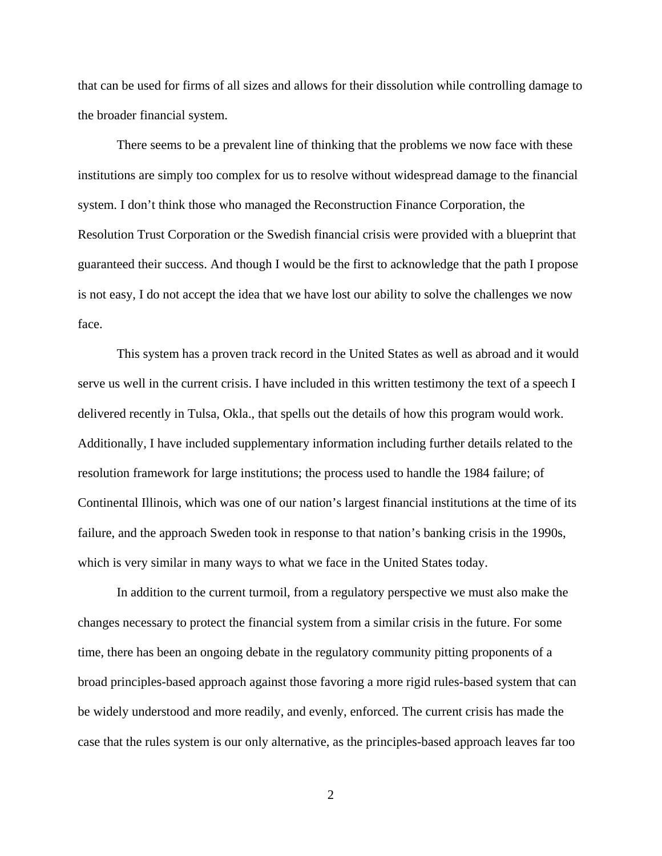that can be used for firms of all sizes and allows for their dissolution while controlling damage to the broader financial system.

There seems to be a prevalent line of thinking that the problems we now face with these institutions are simply too complex for us to resolve without widespread damage to the financial system. I don't think those who managed the Reconstruction Finance Corporation, the Resolution Trust Corporation or the Swedish financial crisis were provided with a blueprint that guaranteed their success. And though I would be the first to acknowledge that the path I propose is not easy, I do not accept the idea that we have lost our ability to solve the challenges we now face.

This system has a proven track record in the United States as well as abroad and it would serve us well in the current crisis. I have included in this written testimony the text of a speech I delivered recently in Tulsa, Okla., that spells out the details of how this program would work. Additionally, I have included supplementary information including further details related to the resolution framework for large institutions; the process used to handle the 1984 failure; of Continental Illinois, which was one of our nation's largest financial institutions at the time of its failure, and the approach Sweden took in response to that nation's banking crisis in the 1990s, which is very similar in many ways to what we face in the United States today.

In addition to the current turmoil, from a regulatory perspective we must also make the changes necessary to protect the financial system from a similar crisis in the future. For some time, there has been an ongoing debate in the regulatory community pitting proponents of a broad principles-based approach against those favoring a more rigid rules-based system that can be widely understood and more readily, and evenly, enforced. The current crisis has made the case that the rules system is our only alternative, as the principles-based approach leaves far too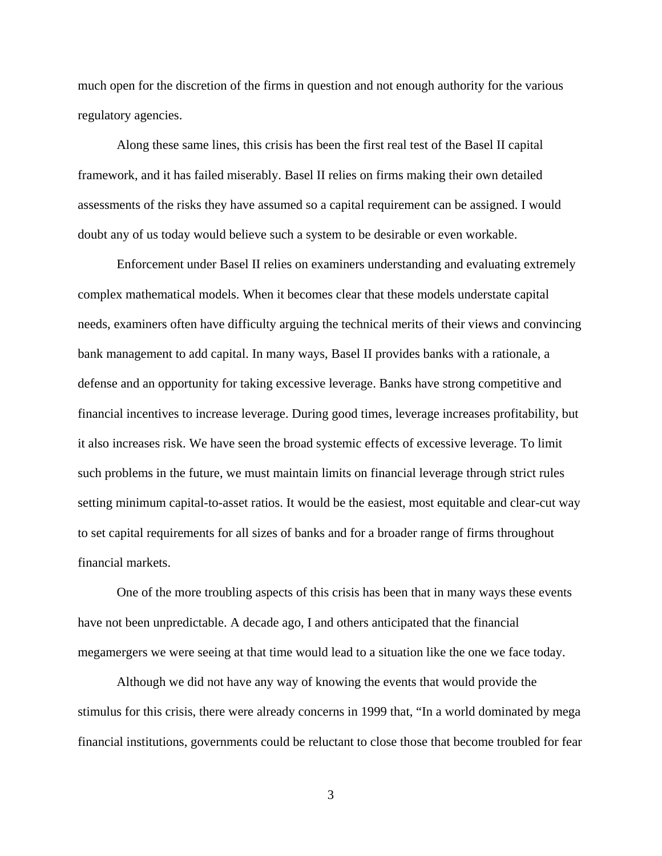much open for the discretion of the firms in question and not enough authority for the various regulatory agencies.

Along these same lines, this crisis has been the first real test of the Basel II capital framework, and it has failed miserably. Basel II relies on firms making their own detailed assessments of the risks they have assumed so a capital requirement can be assigned. I would doubt any of us today would believe such a system to be desirable or even workable.

Enforcement under Basel II relies on examiners understanding and evaluating extremely complex mathematical models. When it becomes clear that these models understate capital needs, examiners often have difficulty arguing the technical merits of their views and convincing bank management to add capital. In many ways, Basel II provides banks with a rationale, a defense and an opportunity for taking excessive leverage. Banks have strong competitive and financial incentives to increase leverage. During good times, leverage increases profitability, but it also increases risk. We have seen the broad systemic effects of excessive leverage. To limit such problems in the future, we must maintain limits on financial leverage through strict rules setting minimum capital-to-asset ratios. It would be the easiest, most equitable and clear-cut way to set capital requirements for all sizes of banks and for a broader range of firms throughout financial markets.

One of the more troubling aspects of this crisis has been that in many ways these events have not been unpredictable. A decade ago, I and others anticipated that the financial megamergers we were seeing at that time would lead to a situation like the one we face today.

Although we did not have any way of knowing the events that would provide the stimulus for this crisis, there were already concerns in 1999 that, "In a world dominated by mega financial institutions, governments could be reluctant to close those that become troubled for fear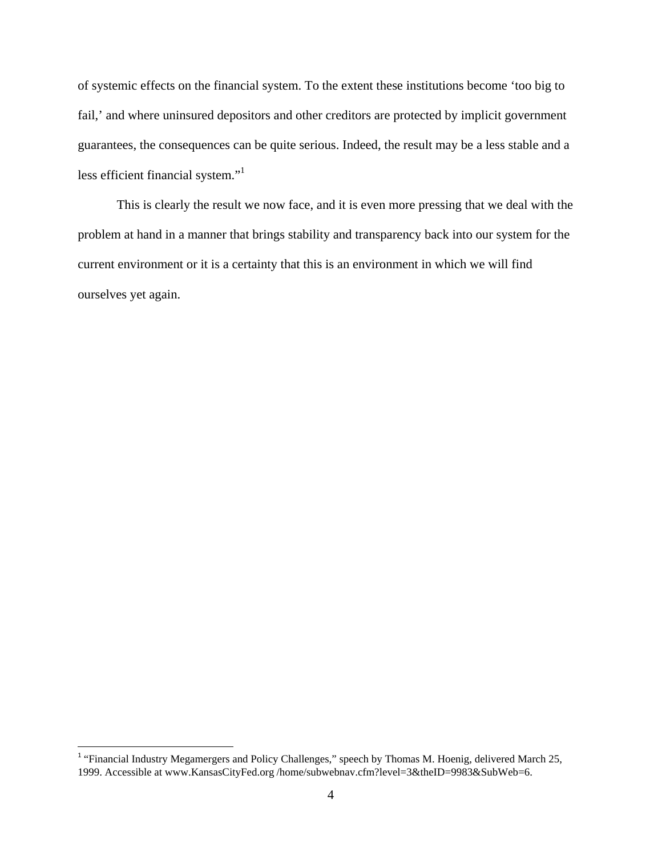of systemic effects on the financial system. To the extent these institutions become 'too big to fail,' and where uninsured depositors and other creditors are protected by implicit government guarantees, the consequences can be quite serious. Indeed, the result may be a less stable and a less efficient financial system."1

This is clearly the result we now face, and it is even more pressing that we deal with the problem at hand in a manner that brings stability and transparency back into our system for the current environment or it is a certainty that this is an environment in which we will find ourselves yet again.

 $\overline{a}$ 

<sup>&</sup>lt;sup>1</sup> "Financial Industry Megamergers and Policy Challenges," speech by Thomas M. Hoenig, delivered March 25, 1999. Accessible at www.KansasCityFed.org /home/subwebnav.cfm?level=3&theID=9983&SubWeb=6.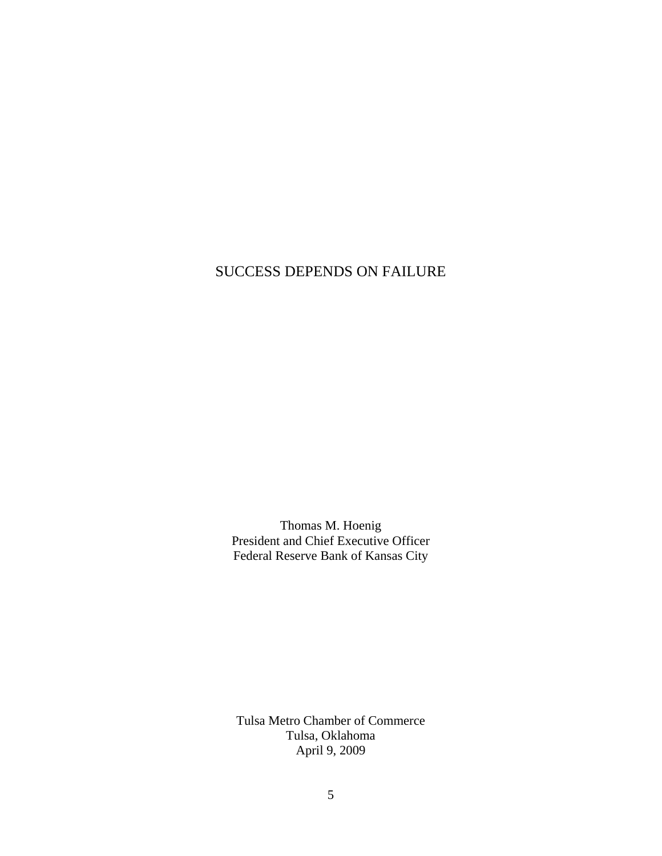# SUCCESS DEPENDS ON FAILURE

Thomas M. Hoenig President and Chief Executive Officer Federal Reserve Bank of Kansas City

Tulsa Metro Chamber of Commerce Tulsa, Oklahoma April 9, 2009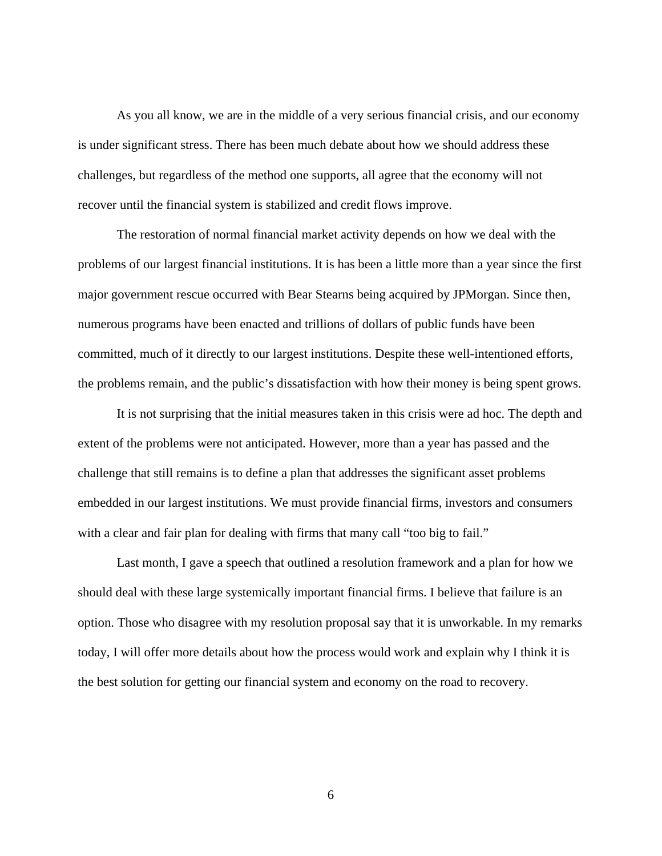As you all know, we are in the middle of a very serious financial crisis, and our economy is under significant stress. There has been much debate about how we should address these challenges, but regardless of the method one supports, all agree that the economy will not recover until the financial system is stabilized and credit flows improve.

The restoration of normal financial market activity depends on how we deal with the problems of our largest financial institutions. It is has been a little more than a year since the first major government rescue occurred with Bear Stearns being acquired by JPMorgan. Since then, numerous programs have been enacted and trillions of dollars of public funds have been committed, much of it directly to our largest institutions. Despite these well-intentioned efforts, the problems remain, and the public's dissatisfaction with how their money is being spent grows.

It is not surprising that the initial measures taken in this crisis were ad hoc. The depth and extent of the problems were not anticipated. However, more than a year has passed and the challenge that still remains is to define a plan that addresses the significant asset problems embedded in our largest institutions. We must provide financial firms, investors and consumers with a clear and fair plan for dealing with firms that many call "too big to fail."

Last month, I gave a speech that outlined a resolution framework and a plan for how we should deal with these large systemically important financial firms. I believe that failure is an option. Those who disagree with my resolution proposal say that it is unworkable. In my remarks today, I will offer more details about how the process would work and explain why I think it is the best solution for getting our financial system and economy on the road to recovery.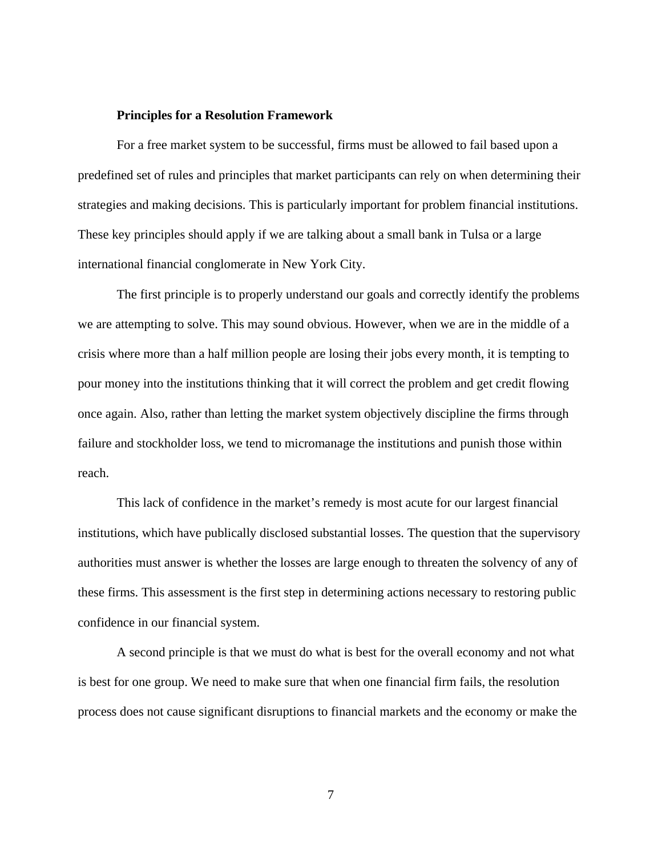#### **Principles for a Resolution Framework**

For a free market system to be successful, firms must be allowed to fail based upon a predefined set of rules and principles that market participants can rely on when determining their strategies and making decisions. This is particularly important for problem financial institutions. These key principles should apply if we are talking about a small bank in Tulsa or a large international financial conglomerate in New York City.

The first principle is to properly understand our goals and correctly identify the problems we are attempting to solve. This may sound obvious. However, when we are in the middle of a crisis where more than a half million people are losing their jobs every month, it is tempting to pour money into the institutions thinking that it will correct the problem and get credit flowing once again. Also, rather than letting the market system objectively discipline the firms through failure and stockholder loss, we tend to micromanage the institutions and punish those within reach.

This lack of confidence in the market's remedy is most acute for our largest financial institutions, which have publically disclosed substantial losses. The question that the supervisory authorities must answer is whether the losses are large enough to threaten the solvency of any of these firms. This assessment is the first step in determining actions necessary to restoring public confidence in our financial system.

A second principle is that we must do what is best for the overall economy and not what is best for one group. We need to make sure that when one financial firm fails, the resolution process does not cause significant disruptions to financial markets and the economy or make the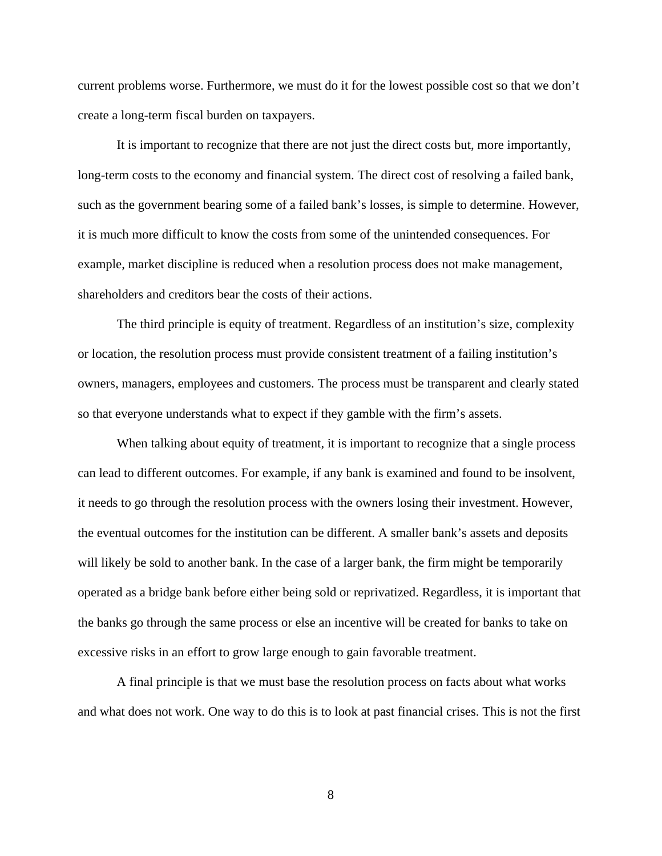current problems worse. Furthermore, we must do it for the lowest possible cost so that we don't create a long-term fiscal burden on taxpayers.

It is important to recognize that there are not just the direct costs but, more importantly, long-term costs to the economy and financial system. The direct cost of resolving a failed bank, such as the government bearing some of a failed bank's losses, is simple to determine. However, it is much more difficult to know the costs from some of the unintended consequences. For example, market discipline is reduced when a resolution process does not make management, shareholders and creditors bear the costs of their actions.

The third principle is equity of treatment. Regardless of an institution's size, complexity or location, the resolution process must provide consistent treatment of a failing institution's owners, managers, employees and customers. The process must be transparent and clearly stated so that everyone understands what to expect if they gamble with the firm's assets.

When talking about equity of treatment, it is important to recognize that a single process can lead to different outcomes. For example, if any bank is examined and found to be insolvent, it needs to go through the resolution process with the owners losing their investment. However, the eventual outcomes for the institution can be different. A smaller bank's assets and deposits will likely be sold to another bank. In the case of a larger bank, the firm might be temporarily operated as a bridge bank before either being sold or reprivatized. Regardless, it is important that the banks go through the same process or else an incentive will be created for banks to take on excessive risks in an effort to grow large enough to gain favorable treatment.

A final principle is that we must base the resolution process on facts about what works and what does not work. One way to do this is to look at past financial crises. This is not the first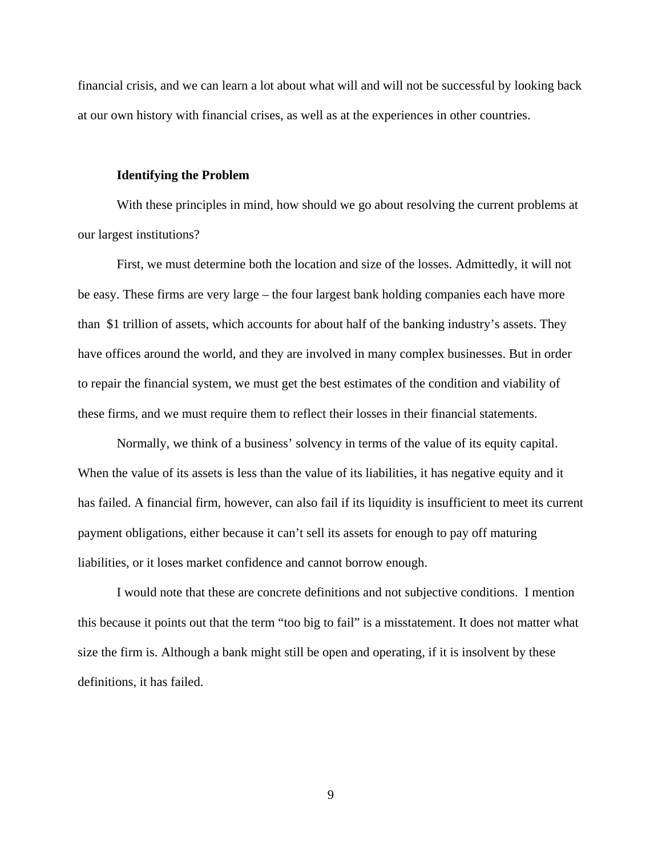financial crisis, and we can learn a lot about what will and will not be successful by looking back at our own history with financial crises, as well as at the experiences in other countries.

#### **Identifying the Problem**

With these principles in mind, how should we go about resolving the current problems at our largest institutions?

First, we must determine both the location and size of the losses. Admittedly, it will not be easy. These firms are very large – the four largest bank holding companies each have more than \$1 trillion of assets, which accounts for about half of the banking industry's assets. They have offices around the world, and they are involved in many complex businesses. But in order to repair the financial system, we must get the best estimates of the condition and viability of these firms, and we must require them to reflect their losses in their financial statements.

Normally, we think of a business' solvency in terms of the value of its equity capital. When the value of its assets is less than the value of its liabilities, it has negative equity and it has failed. A financial firm, however, can also fail if its liquidity is insufficient to meet its current payment obligations, either because it can't sell its assets for enough to pay off maturing liabilities, or it loses market confidence and cannot borrow enough.

I would note that these are concrete definitions and not subjective conditions. I mention this because it points out that the term "too big to fail" is a misstatement. It does not matter what size the firm is. Although a bank might still be open and operating, if it is insolvent by these definitions, it has failed.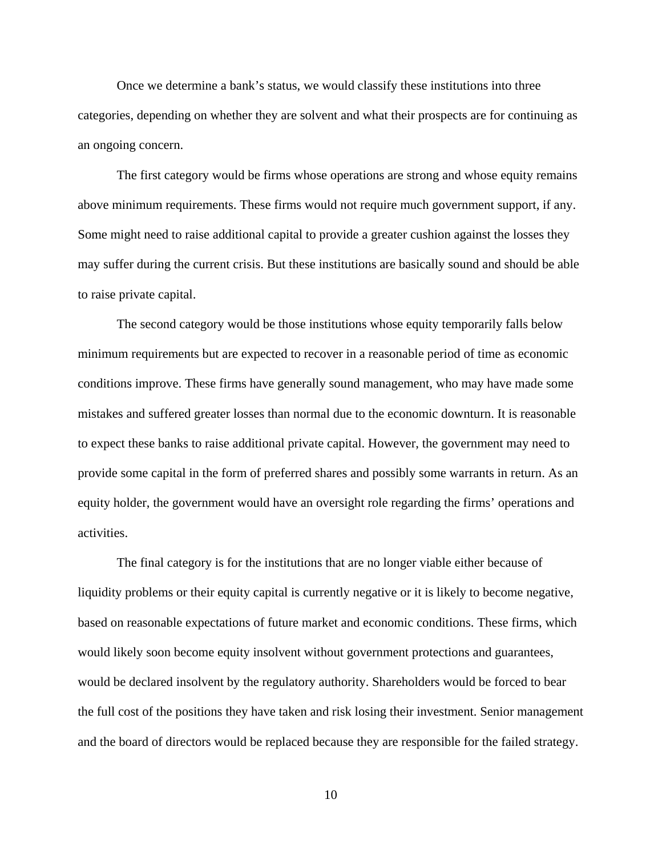Once we determine a bank's status, we would classify these institutions into three categories, depending on whether they are solvent and what their prospects are for continuing as an ongoing concern.

The first category would be firms whose operations are strong and whose equity remains above minimum requirements. These firms would not require much government support, if any. Some might need to raise additional capital to provide a greater cushion against the losses they may suffer during the current crisis. But these institutions are basically sound and should be able to raise private capital.

The second category would be those institutions whose equity temporarily falls below minimum requirements but are expected to recover in a reasonable period of time as economic conditions improve. These firms have generally sound management, who may have made some mistakes and suffered greater losses than normal due to the economic downturn. It is reasonable to expect these banks to raise additional private capital. However, the government may need to provide some capital in the form of preferred shares and possibly some warrants in return. As an equity holder, the government would have an oversight role regarding the firms' operations and activities.

The final category is for the institutions that are no longer viable either because of liquidity problems or their equity capital is currently negative or it is likely to become negative, based on reasonable expectations of future market and economic conditions. These firms, which would likely soon become equity insolvent without government protections and guarantees, would be declared insolvent by the regulatory authority. Shareholders would be forced to bear the full cost of the positions they have taken and risk losing their investment. Senior management and the board of directors would be replaced because they are responsible for the failed strategy.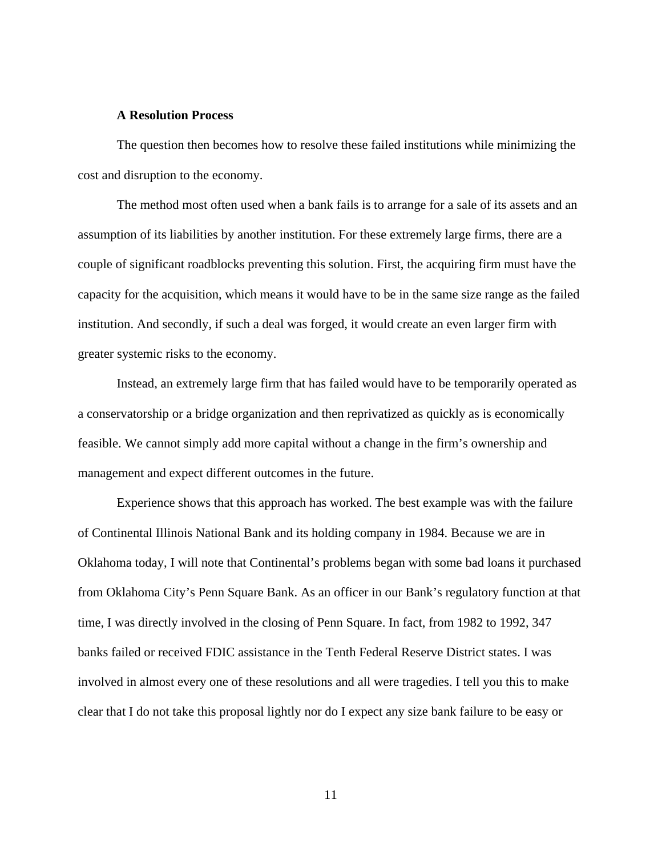#### **A Resolution Process**

The question then becomes how to resolve these failed institutions while minimizing the cost and disruption to the economy.

The method most often used when a bank fails is to arrange for a sale of its assets and an assumption of its liabilities by another institution. For these extremely large firms, there are a couple of significant roadblocks preventing this solution. First, the acquiring firm must have the capacity for the acquisition, which means it would have to be in the same size range as the failed institution. And secondly, if such a deal was forged, it would create an even larger firm with greater systemic risks to the economy.

Instead, an extremely large firm that has failed would have to be temporarily operated as a conservatorship or a bridge organization and then reprivatized as quickly as is economically feasible. We cannot simply add more capital without a change in the firm's ownership and management and expect different outcomes in the future.

Experience shows that this approach has worked. The best example was with the failure of Continental Illinois National Bank and its holding company in 1984. Because we are in Oklahoma today, I will note that Continental's problems began with some bad loans it purchased from Oklahoma City's Penn Square Bank. As an officer in our Bank's regulatory function at that time, I was directly involved in the closing of Penn Square. In fact, from 1982 to 1992, 347 banks failed or received FDIC assistance in the Tenth Federal Reserve District states. I was involved in almost every one of these resolutions and all were tragedies. I tell you this to make clear that I do not take this proposal lightly nor do I expect any size bank failure to be easy or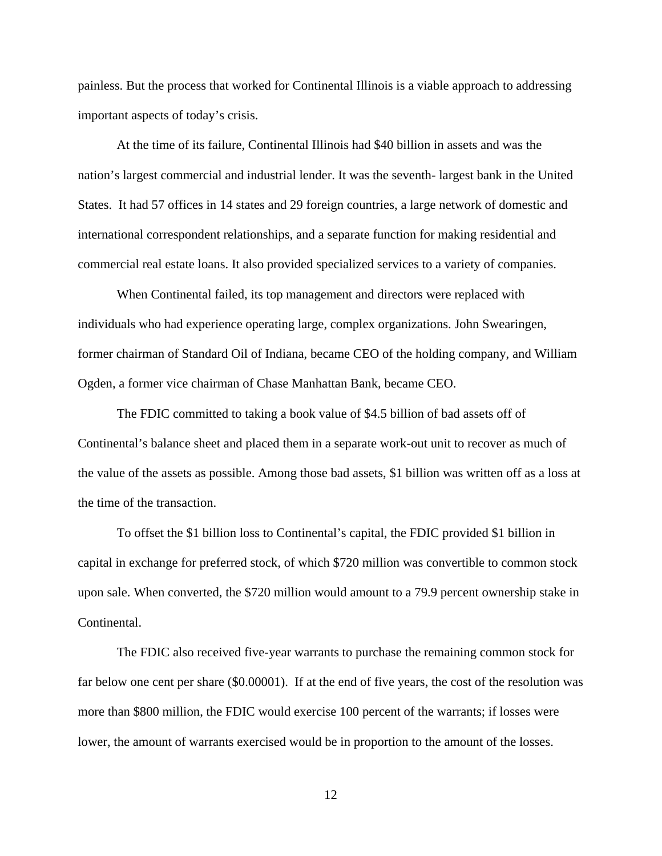painless. But the process that worked for Continental Illinois is a viable approach to addressing important aspects of today's crisis.

At the time of its failure, Continental Illinois had \$40 billion in assets and was the nation's largest commercial and industrial lender. It was the seventh- largest bank in the United States. It had 57 offices in 14 states and 29 foreign countries, a large network of domestic and international correspondent relationships, and a separate function for making residential and commercial real estate loans. It also provided specialized services to a variety of companies.

When Continental failed, its top management and directors were replaced with individuals who had experience operating large, complex organizations. John Swearingen, former chairman of Standard Oil of Indiana, became CEO of the holding company, and William Ogden, a former vice chairman of Chase Manhattan Bank, became CEO.

The FDIC committed to taking a book value of \$4.5 billion of bad assets off of Continental's balance sheet and placed them in a separate work-out unit to recover as much of the value of the assets as possible. Among those bad assets, \$1 billion was written off as a loss at the time of the transaction.

To offset the \$1 billion loss to Continental's capital, the FDIC provided \$1 billion in capital in exchange for preferred stock, of which \$720 million was convertible to common stock upon sale. When converted, the \$720 million would amount to a 79.9 percent ownership stake in Continental.

The FDIC also received five-year warrants to purchase the remaining common stock for far below one cent per share (\$0.00001). If at the end of five years, the cost of the resolution was more than \$800 million, the FDIC would exercise 100 percent of the warrants; if losses were lower, the amount of warrants exercised would be in proportion to the amount of the losses.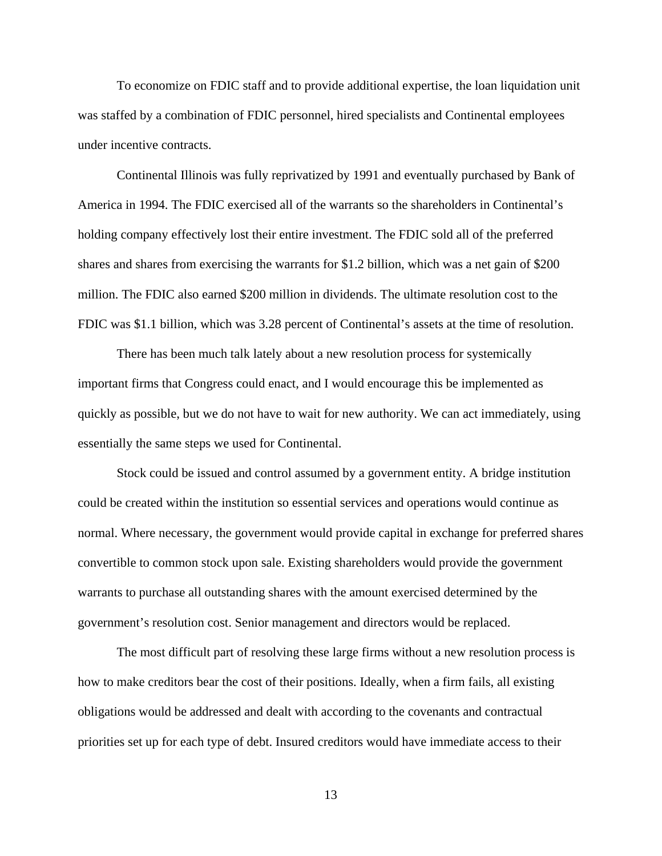To economize on FDIC staff and to provide additional expertise, the loan liquidation unit was staffed by a combination of FDIC personnel, hired specialists and Continental employees under incentive contracts.

Continental Illinois was fully reprivatized by 1991 and eventually purchased by Bank of America in 1994. The FDIC exercised all of the warrants so the shareholders in Continental's holding company effectively lost their entire investment. The FDIC sold all of the preferred shares and shares from exercising the warrants for \$1.2 billion, which was a net gain of \$200 million. The FDIC also earned \$200 million in dividends. The ultimate resolution cost to the FDIC was \$1.1 billion, which was 3.28 percent of Continental's assets at the time of resolution.

There has been much talk lately about a new resolution process for systemically important firms that Congress could enact, and I would encourage this be implemented as quickly as possible, but we do not have to wait for new authority. We can act immediately, using essentially the same steps we used for Continental.

Stock could be issued and control assumed by a government entity. A bridge institution could be created within the institution so essential services and operations would continue as normal. Where necessary, the government would provide capital in exchange for preferred shares convertible to common stock upon sale. Existing shareholders would provide the government warrants to purchase all outstanding shares with the amount exercised determined by the government's resolution cost. Senior management and directors would be replaced.

The most difficult part of resolving these large firms without a new resolution process is how to make creditors bear the cost of their positions. Ideally, when a firm fails, all existing obligations would be addressed and dealt with according to the covenants and contractual priorities set up for each type of debt. Insured creditors would have immediate access to their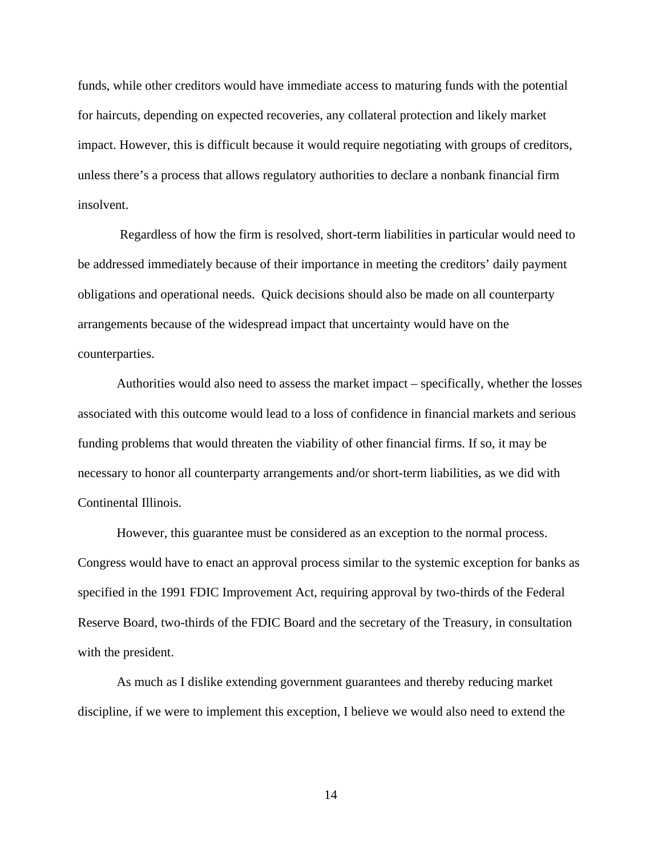funds, while other creditors would have immediate access to maturing funds with the potential for haircuts, depending on expected recoveries, any collateral protection and likely market impact. However, this is difficult because it would require negotiating with groups of creditors, unless there's a process that allows regulatory authorities to declare a nonbank financial firm insolvent.

 Regardless of how the firm is resolved, short-term liabilities in particular would need to be addressed immediately because of their importance in meeting the creditors' daily payment obligations and operational needs. Quick decisions should also be made on all counterparty arrangements because of the widespread impact that uncertainty would have on the counterparties.

Authorities would also need to assess the market impact – specifically, whether the losses associated with this outcome would lead to a loss of confidence in financial markets and serious funding problems that would threaten the viability of other financial firms. If so, it may be necessary to honor all counterparty arrangements and/or short-term liabilities, as we did with Continental Illinois.

However, this guarantee must be considered as an exception to the normal process. Congress would have to enact an approval process similar to the systemic exception for banks as specified in the 1991 FDIC Improvement Act, requiring approval by two-thirds of the Federal Reserve Board, two-thirds of the FDIC Board and the secretary of the Treasury, in consultation with the president.

As much as I dislike extending government guarantees and thereby reducing market discipline, if we were to implement this exception, I believe we would also need to extend the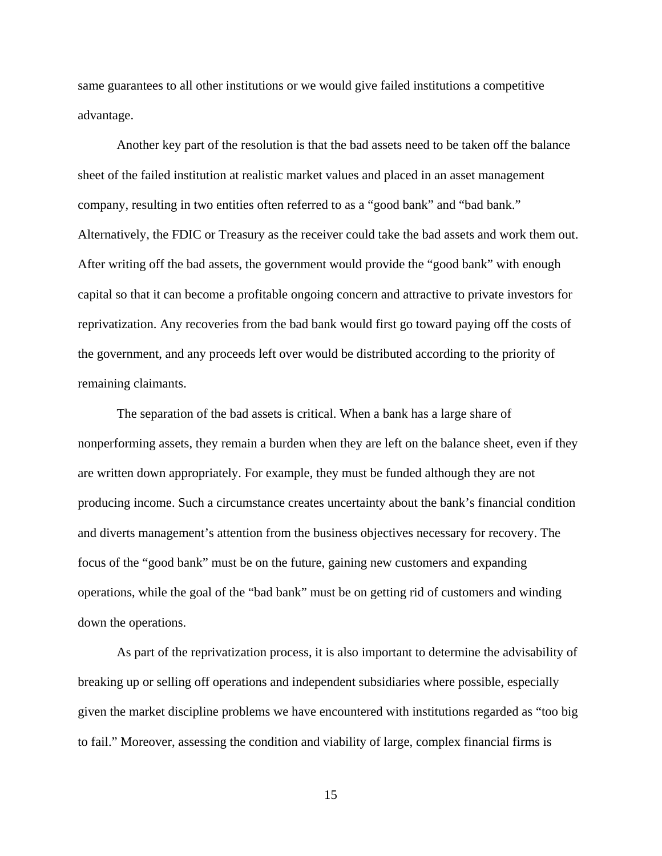same guarantees to all other institutions or we would give failed institutions a competitive advantage.

Another key part of the resolution is that the bad assets need to be taken off the balance sheet of the failed institution at realistic market values and placed in an asset management company, resulting in two entities often referred to as a "good bank" and "bad bank." Alternatively, the FDIC or Treasury as the receiver could take the bad assets and work them out. After writing off the bad assets, the government would provide the "good bank" with enough capital so that it can become a profitable ongoing concern and attractive to private investors for reprivatization. Any recoveries from the bad bank would first go toward paying off the costs of the government, and any proceeds left over would be distributed according to the priority of remaining claimants.

The separation of the bad assets is critical. When a bank has a large share of nonperforming assets, they remain a burden when they are left on the balance sheet, even if they are written down appropriately. For example, they must be funded although they are not producing income. Such a circumstance creates uncertainty about the bank's financial condition and diverts management's attention from the business objectives necessary for recovery. The focus of the "good bank" must be on the future, gaining new customers and expanding operations, while the goal of the "bad bank" must be on getting rid of customers and winding down the operations.

As part of the reprivatization process, it is also important to determine the advisability of breaking up or selling off operations and independent subsidiaries where possible, especially given the market discipline problems we have encountered with institutions regarded as "too big to fail." Moreover, assessing the condition and viability of large, complex financial firms is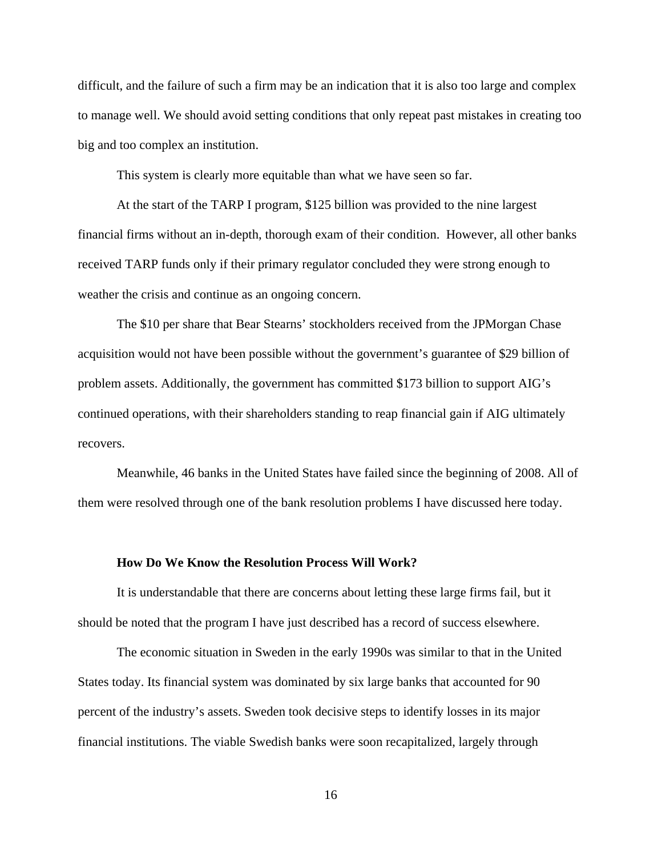difficult, and the failure of such a firm may be an indication that it is also too large and complex to manage well. We should avoid setting conditions that only repeat past mistakes in creating too big and too complex an institution.

This system is clearly more equitable than what we have seen so far.

At the start of the TARP I program, \$125 billion was provided to the nine largest financial firms without an in-depth, thorough exam of their condition. However, all other banks received TARP funds only if their primary regulator concluded they were strong enough to weather the crisis and continue as an ongoing concern.

The \$10 per share that Bear Stearns' stockholders received from the JPMorgan Chase acquisition would not have been possible without the government's guarantee of \$29 billion of problem assets. Additionally, the government has committed \$173 billion to support AIG's continued operations, with their shareholders standing to reap financial gain if AIG ultimately recovers.

Meanwhile, 46 banks in the United States have failed since the beginning of 2008. All of them were resolved through one of the bank resolution problems I have discussed here today.

#### **How Do We Know the Resolution Process Will Work?**

It is understandable that there are concerns about letting these large firms fail, but it should be noted that the program I have just described has a record of success elsewhere.

The economic situation in Sweden in the early 1990s was similar to that in the United States today. Its financial system was dominated by six large banks that accounted for 90 percent of the industry's assets. Sweden took decisive steps to identify losses in its major financial institutions. The viable Swedish banks were soon recapitalized, largely through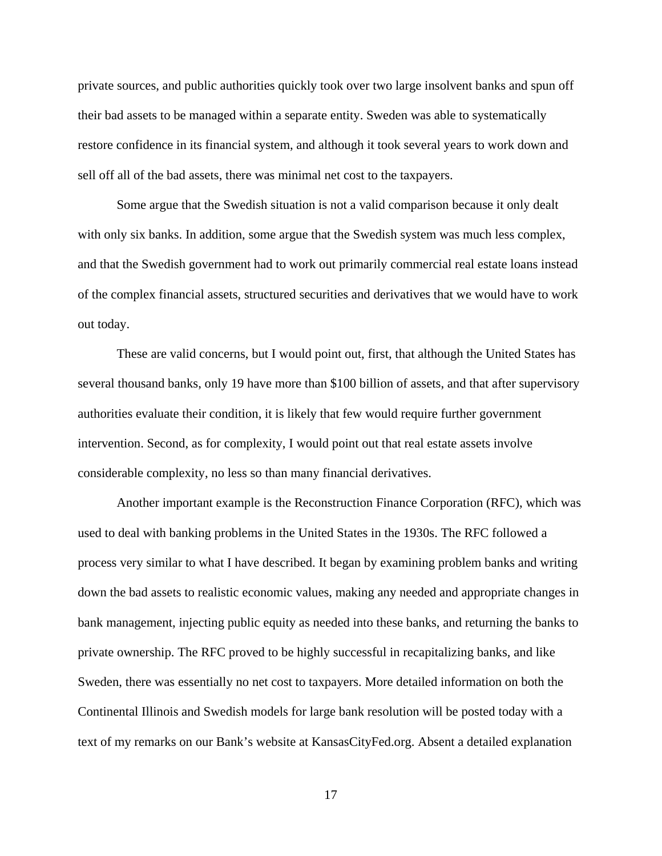private sources, and public authorities quickly took over two large insolvent banks and spun off their bad assets to be managed within a separate entity. Sweden was able to systematically restore confidence in its financial system, and although it took several years to work down and sell off all of the bad assets, there was minimal net cost to the taxpayers.

Some argue that the Swedish situation is not a valid comparison because it only dealt with only six banks. In addition, some argue that the Swedish system was much less complex, and that the Swedish government had to work out primarily commercial real estate loans instead of the complex financial assets, structured securities and derivatives that we would have to work out today.

These are valid concerns, but I would point out, first, that although the United States has several thousand banks, only 19 have more than \$100 billion of assets, and that after supervisory authorities evaluate their condition, it is likely that few would require further government intervention. Second, as for complexity, I would point out that real estate assets involve considerable complexity, no less so than many financial derivatives.

Another important example is the Reconstruction Finance Corporation (RFC), which was used to deal with banking problems in the United States in the 1930s. The RFC followed a process very similar to what I have described. It began by examining problem banks and writing down the bad assets to realistic economic values, making any needed and appropriate changes in bank management, injecting public equity as needed into these banks, and returning the banks to private ownership. The RFC proved to be highly successful in recapitalizing banks, and like Sweden, there was essentially no net cost to taxpayers. More detailed information on both the Continental Illinois and Swedish models for large bank resolution will be posted today with a text of my remarks on our Bank's website at KansasCityFed.org. Absent a detailed explanation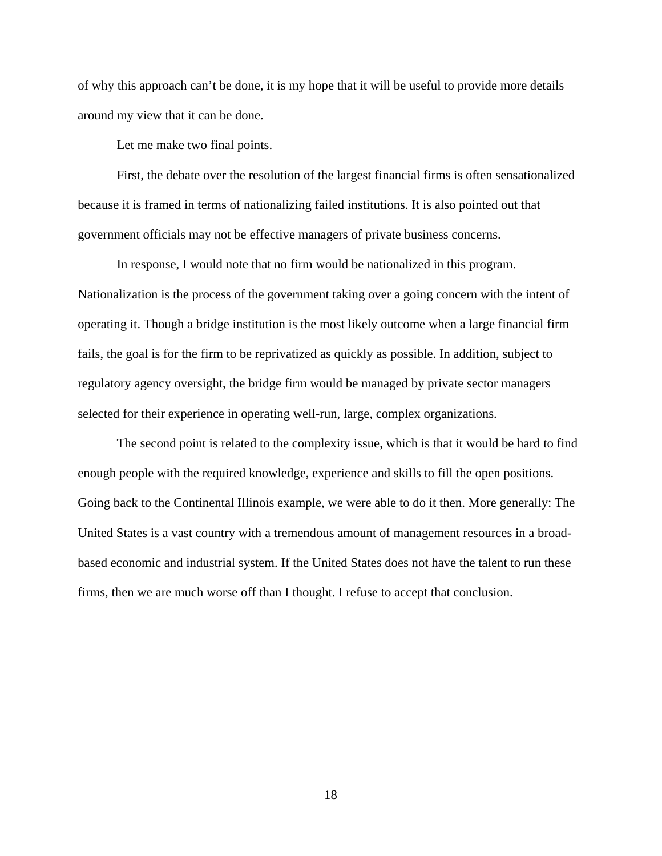of why this approach can't be done, it is my hope that it will be useful to provide more details around my view that it can be done.

Let me make two final points.

First, the debate over the resolution of the largest financial firms is often sensationalized because it is framed in terms of nationalizing failed institutions. It is also pointed out that government officials may not be effective managers of private business concerns.

In response, I would note that no firm would be nationalized in this program. Nationalization is the process of the government taking over a going concern with the intent of operating it. Though a bridge institution is the most likely outcome when a large financial firm fails, the goal is for the firm to be reprivatized as quickly as possible. In addition, subject to regulatory agency oversight, the bridge firm would be managed by private sector managers selected for their experience in operating well-run, large, complex organizations.

The second point is related to the complexity issue, which is that it would be hard to find enough people with the required knowledge, experience and skills to fill the open positions. Going back to the Continental Illinois example, we were able to do it then. More generally: The United States is a vast country with a tremendous amount of management resources in a broadbased economic and industrial system. If the United States does not have the talent to run these firms, then we are much worse off than I thought. I refuse to accept that conclusion.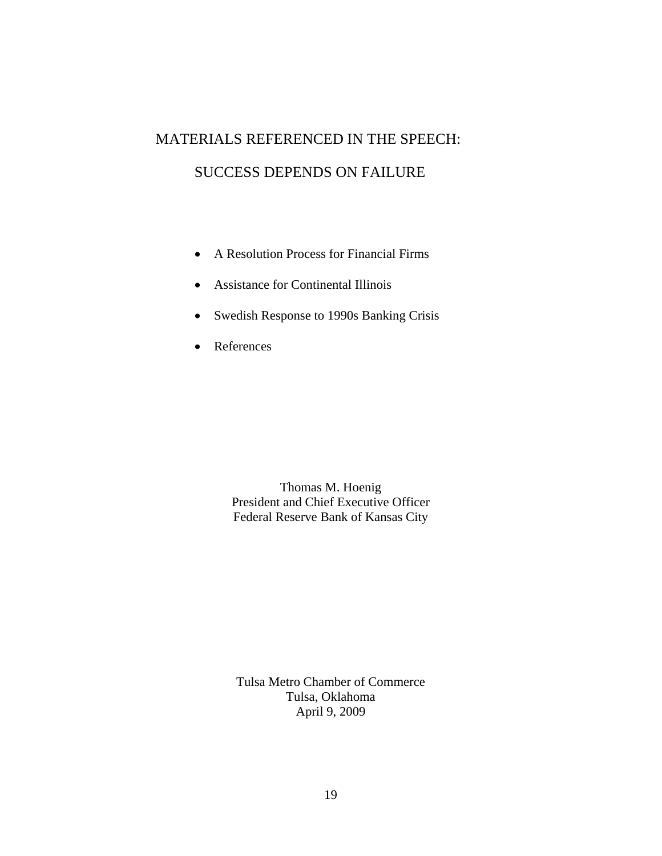# MATERIALS REFERENCED IN THE SPEECH: SUCCESS DEPENDS ON FAILURE

- A Resolution Process for Financial Firms
- Assistance for Continental Illinois
- Swedish Response to 1990s Banking Crisis
- References

Thomas M. Hoenig President and Chief Executive Officer Federal Reserve Bank of Kansas City

Tulsa Metro Chamber of Commerce Tulsa, Oklahoma April 9, 2009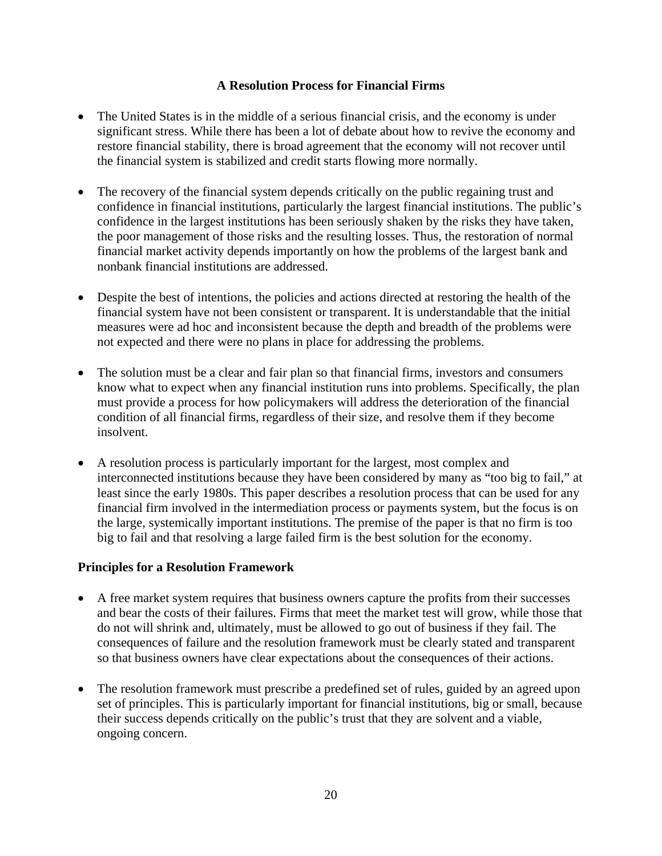#### **A Resolution Process for Financial Firms**

- The United States is in the middle of a serious financial crisis, and the economy is under significant stress. While there has been a lot of debate about how to revive the economy and restore financial stability, there is broad agreement that the economy will not recover until the financial system is stabilized and credit starts flowing more normally.
- The recovery of the financial system depends critically on the public regaining trust and confidence in financial institutions, particularly the largest financial institutions. The public's confidence in the largest institutions has been seriously shaken by the risks they have taken, the poor management of those risks and the resulting losses. Thus, the restoration of normal financial market activity depends importantly on how the problems of the largest bank and nonbank financial institutions are addressed.
- Despite the best of intentions, the policies and actions directed at restoring the health of the financial system have not been consistent or transparent. It is understandable that the initial measures were ad hoc and inconsistent because the depth and breadth of the problems were not expected and there were no plans in place for addressing the problems.
- The solution must be a clear and fair plan so that financial firms, investors and consumers know what to expect when any financial institution runs into problems. Specifically, the plan must provide a process for how policymakers will address the deterioration of the financial condition of all financial firms, regardless of their size, and resolve them if they become insolvent.
- A resolution process is particularly important for the largest, most complex and interconnected institutions because they have been considered by many as "too big to fail," at least since the early 1980s. This paper describes a resolution process that can be used for any financial firm involved in the intermediation process or payments system, but the focus is on the large, systemically important institutions. The premise of the paper is that no firm is too big to fail and that resolving a large failed firm is the best solution for the economy.

#### **Principles for a Resolution Framework**

- A free market system requires that business owners capture the profits from their successes and bear the costs of their failures. Firms that meet the market test will grow, while those that do not will shrink and, ultimately, must be allowed to go out of business if they fail. The consequences of failure and the resolution framework must be clearly stated and transparent so that business owners have clear expectations about the consequences of their actions.
- The resolution framework must prescribe a predefined set of rules, guided by an agreed upon set of principles. This is particularly important for financial institutions, big or small, because their success depends critically on the public's trust that they are solvent and a viable, ongoing concern.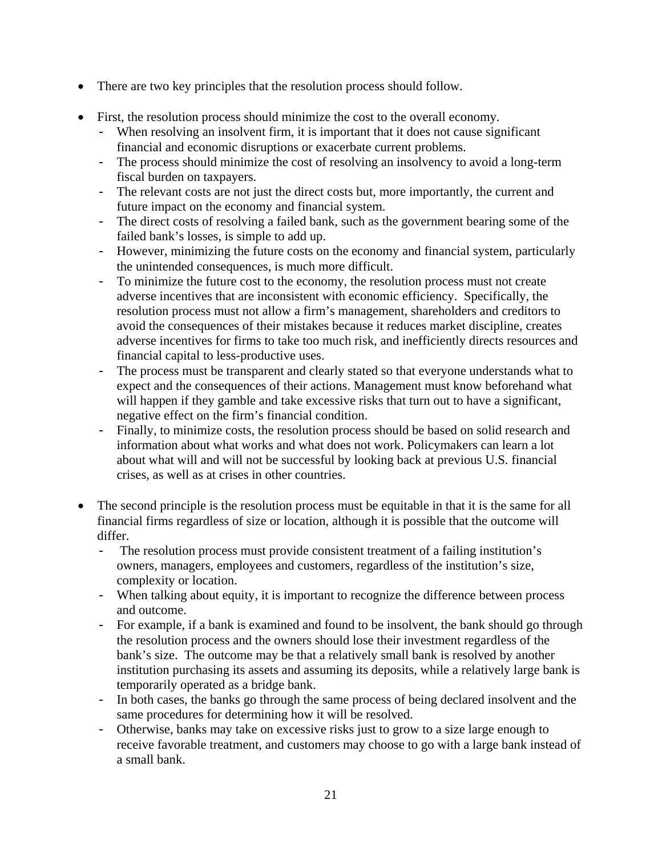- There are two key principles that the resolution process should follow.
- First, the resolution process should minimize the cost to the overall economy.
	- When resolving an insolvent firm, it is important that it does not cause significant financial and economic disruptions or exacerbate current problems.
	- The process should minimize the cost of resolving an insolvency to avoid a long-term fiscal burden on taxpayers.
	- The relevant costs are not just the direct costs but, more importantly, the current and future impact on the economy and financial system.
	- The direct costs of resolving a failed bank, such as the government bearing some of the failed bank's losses, is simple to add up.
	- However, minimizing the future costs on the economy and financial system, particularly the unintended consequences, is much more difficult.
	- To minimize the future cost to the economy, the resolution process must not create adverse incentives that are inconsistent with economic efficiency. Specifically, the resolution process must not allow a firm's management, shareholders and creditors to avoid the consequences of their mistakes because it reduces market discipline, creates adverse incentives for firms to take too much risk, and inefficiently directs resources and financial capital to less-productive uses.
	- The process must be transparent and clearly stated so that everyone understands what to expect and the consequences of their actions. Management must know beforehand what will happen if they gamble and take excessive risks that turn out to have a significant, negative effect on the firm's financial condition.
	- Finally, to minimize costs, the resolution process should be based on solid research and information about what works and what does not work. Policymakers can learn a lot about what will and will not be successful by looking back at previous U.S. financial crises, as well as at crises in other countries.
- The second principle is the resolution process must be equitable in that it is the same for all financial firms regardless of size or location, although it is possible that the outcome will differ.
	- The resolution process must provide consistent treatment of a failing institution's owners, managers, employees and customers, regardless of the institution's size, complexity or location.
	- When talking about equity, it is important to recognize the difference between process and outcome.
	- For example, if a bank is examined and found to be insolvent, the bank should go through the resolution process and the owners should lose their investment regardless of the bank's size. The outcome may be that a relatively small bank is resolved by another institution purchasing its assets and assuming its deposits, while a relatively large bank is temporarily operated as a bridge bank.
	- In both cases, the banks go through the same process of being declared insolvent and the same procedures for determining how it will be resolved.
	- Otherwise, banks may take on excessive risks just to grow to a size large enough to receive favorable treatment, and customers may choose to go with a large bank instead of a small bank.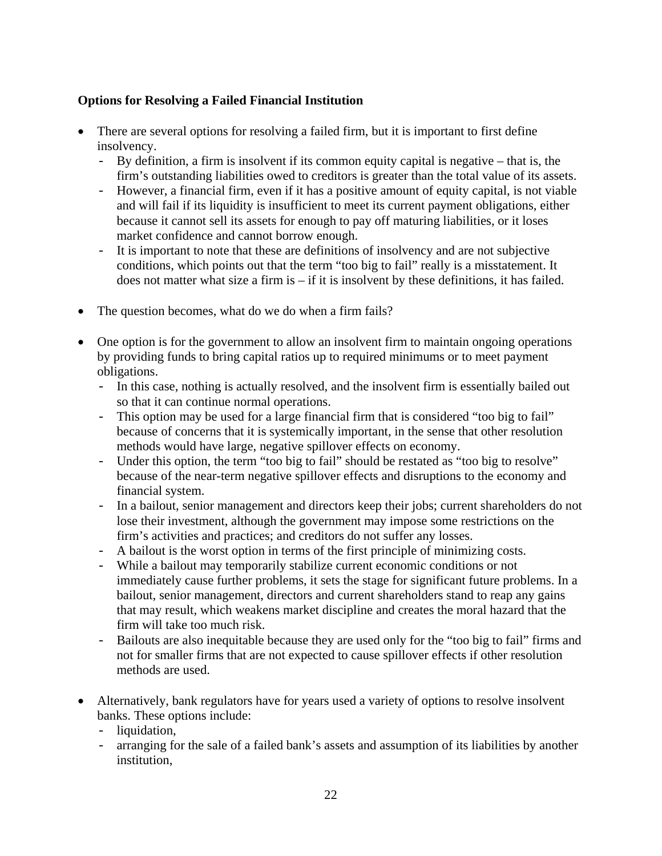## **Options for Resolving a Failed Financial Institution**

- There are several options for resolving a failed firm, but it is important to first define insolvency.
	- By definition, a firm is insolvent if its common equity capital is negative that is, the firm's outstanding liabilities owed to creditors is greater than the total value of its assets.
	- However, a financial firm, even if it has a positive amount of equity capital, is not viable and will fail if its liquidity is insufficient to meet its current payment obligations, either because it cannot sell its assets for enough to pay off maturing liabilities, or it loses market confidence and cannot borrow enough.
	- It is important to note that these are definitions of insolvency and are not subjective conditions, which points out that the term "too big to fail" really is a misstatement. It does not matter what size a firm is – if it is insolvent by these definitions, it has failed.
- The question becomes, what do we do when a firm fails?
- One option is for the government to allow an insolvent firm to maintain ongoing operations by providing funds to bring capital ratios up to required minimums or to meet payment obligations.
	- In this case, nothing is actually resolved, and the insolvent firm is essentially bailed out so that it can continue normal operations.
	- This option may be used for a large financial firm that is considered "too big to fail" because of concerns that it is systemically important, in the sense that other resolution methods would have large, negative spillover effects on economy.
	- Under this option, the term "too big to fail" should be restated as "too big to resolve" because of the near-term negative spillover effects and disruptions to the economy and financial system.
	- In a bailout, senior management and directors keep their jobs; current shareholders do not lose their investment, although the government may impose some restrictions on the firm's activities and practices; and creditors do not suffer any losses.
	- A bailout is the worst option in terms of the first principle of minimizing costs.
	- While a bailout may temporarily stabilize current economic conditions or not immediately cause further problems, it sets the stage for significant future problems. In a bailout, senior management, directors and current shareholders stand to reap any gains that may result, which weakens market discipline and creates the moral hazard that the firm will take too much risk.
	- Bailouts are also inequitable because they are used only for the "too big to fail" firms and not for smaller firms that are not expected to cause spillover effects if other resolution methods are used.
- Alternatively, bank regulators have for years used a variety of options to resolve insolvent banks. These options include:
	- liquidation,
	- arranging for the sale of a failed bank's assets and assumption of its liabilities by another institution,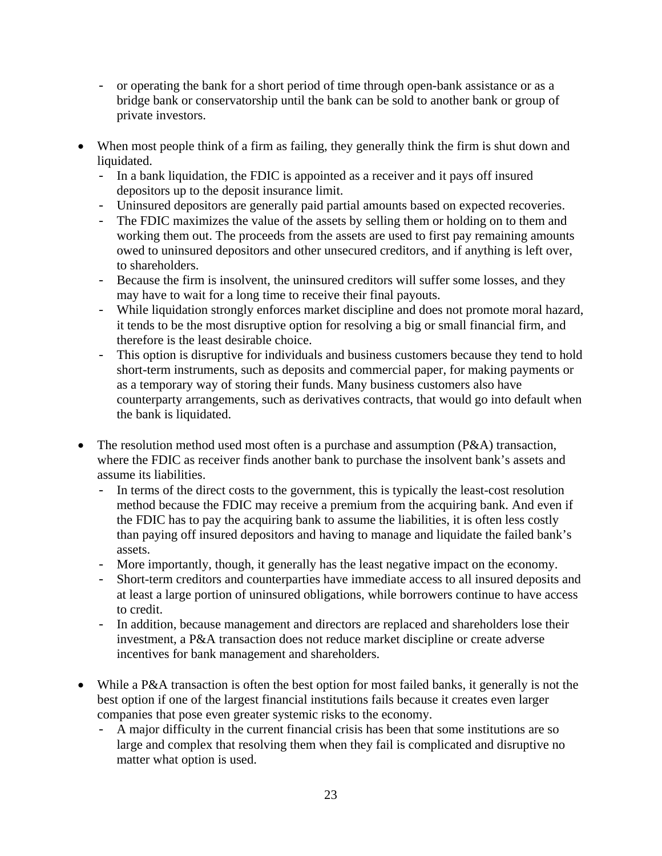- or operating the bank for a short period of time through open-bank assistance or as a bridge bank or conservatorship until the bank can be sold to another bank or group of private investors.
- When most people think of a firm as failing, they generally think the firm is shut down and liquidated.
	- In a bank liquidation, the FDIC is appointed as a receiver and it pays off insured depositors up to the deposit insurance limit.
	- Uninsured depositors are generally paid partial amounts based on expected recoveries.
	- The FDIC maximizes the value of the assets by selling them or holding on to them and working them out. The proceeds from the assets are used to first pay remaining amounts owed to uninsured depositors and other unsecured creditors, and if anything is left over, to shareholders.
	- Because the firm is insolvent, the uninsured creditors will suffer some losses, and they may have to wait for a long time to receive their final payouts.
	- While liquidation strongly enforces market discipline and does not promote moral hazard, it tends to be the most disruptive option for resolving a big or small financial firm, and therefore is the least desirable choice.
	- This option is disruptive for individuals and business customers because they tend to hold short-term instruments, such as deposits and commercial paper, for making payments or as a temporary way of storing their funds. Many business customers also have counterparty arrangements, such as derivatives contracts, that would go into default when the bank is liquidated.
- The resolution method used most often is a purchase and assumption (P&A) transaction, where the FDIC as receiver finds another bank to purchase the insolvent bank's assets and assume its liabilities.
	- In terms of the direct costs to the government, this is typically the least-cost resolution method because the FDIC may receive a premium from the acquiring bank. And even if the FDIC has to pay the acquiring bank to assume the liabilities, it is often less costly than paying off insured depositors and having to manage and liquidate the failed bank's assets.
	- More importantly, though, it generally has the least negative impact on the economy.
	- Short-term creditors and counterparties have immediate access to all insured deposits and at least a large portion of uninsured obligations, while borrowers continue to have access to credit.
	- In addition, because management and directors are replaced and shareholders lose their investment, a P&A transaction does not reduce market discipline or create adverse incentives for bank management and shareholders.
- While a P&A transaction is often the best option for most failed banks, it generally is not the best option if one of the largest financial institutions fails because it creates even larger companies that pose even greater systemic risks to the economy.
	- A major difficulty in the current financial crisis has been that some institutions are so large and complex that resolving them when they fail is complicated and disruptive no matter what option is used.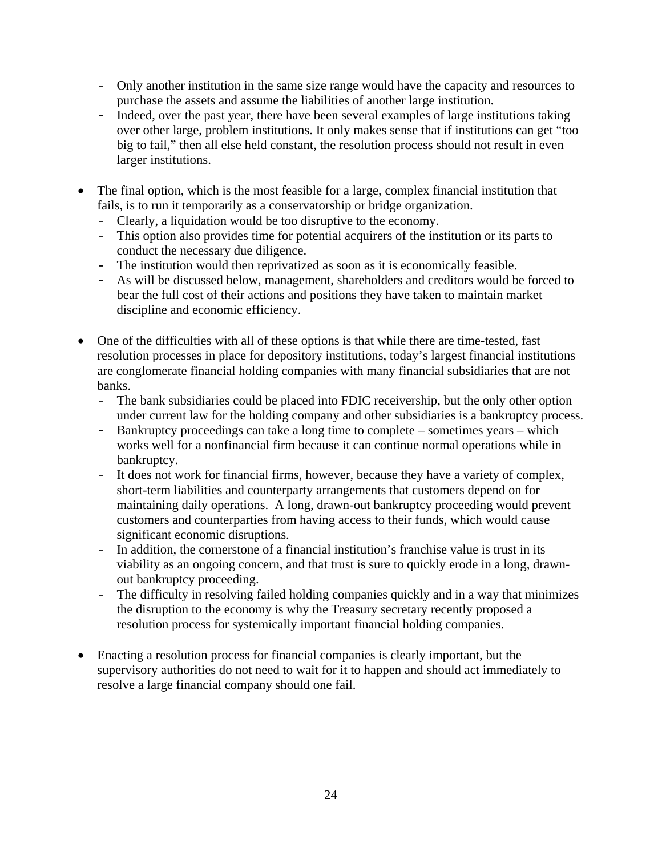- Only another institution in the same size range would have the capacity and resources to purchase the assets and assume the liabilities of another large institution.
- Indeed, over the past year, there have been several examples of large institutions taking over other large, problem institutions. It only makes sense that if institutions can get "too big to fail," then all else held constant, the resolution process should not result in even larger institutions.
- The final option, which is the most feasible for a large, complex financial institution that fails, is to run it temporarily as a conservatorship or bridge organization.
	- Clearly, a liquidation would be too disruptive to the economy.
	- This option also provides time for potential acquirers of the institution or its parts to conduct the necessary due diligence.
	- The institution would then reprivatized as soon as it is economically feasible.
	- As will be discussed below, management, shareholders and creditors would be forced to bear the full cost of their actions and positions they have taken to maintain market discipline and economic efficiency.
- One of the difficulties with all of these options is that while there are time-tested, fast resolution processes in place for depository institutions, today's largest financial institutions are conglomerate financial holding companies with many financial subsidiaries that are not banks.
	- The bank subsidiaries could be placed into FDIC receivership, but the only other option under current law for the holding company and other subsidiaries is a bankruptcy process.
	- Bankruptcy proceedings can take a long time to complete sometimes years which works well for a nonfinancial firm because it can continue normal operations while in bankruptcy.
	- It does not work for financial firms, however, because they have a variety of complex, short-term liabilities and counterparty arrangements that customers depend on for maintaining daily operations. A long, drawn-out bankruptcy proceeding would prevent customers and counterparties from having access to their funds, which would cause significant economic disruptions.
	- In addition, the cornerstone of a financial institution's franchise value is trust in its viability as an ongoing concern, and that trust is sure to quickly erode in a long, drawnout bankruptcy proceeding.
	- The difficulty in resolving failed holding companies quickly and in a way that minimizes the disruption to the economy is why the Treasury secretary recently proposed a resolution process for systemically important financial holding companies.
- Enacting a resolution process for financial companies is clearly important, but the supervisory authorities do not need to wait for it to happen and should act immediately to resolve a large financial company should one fail.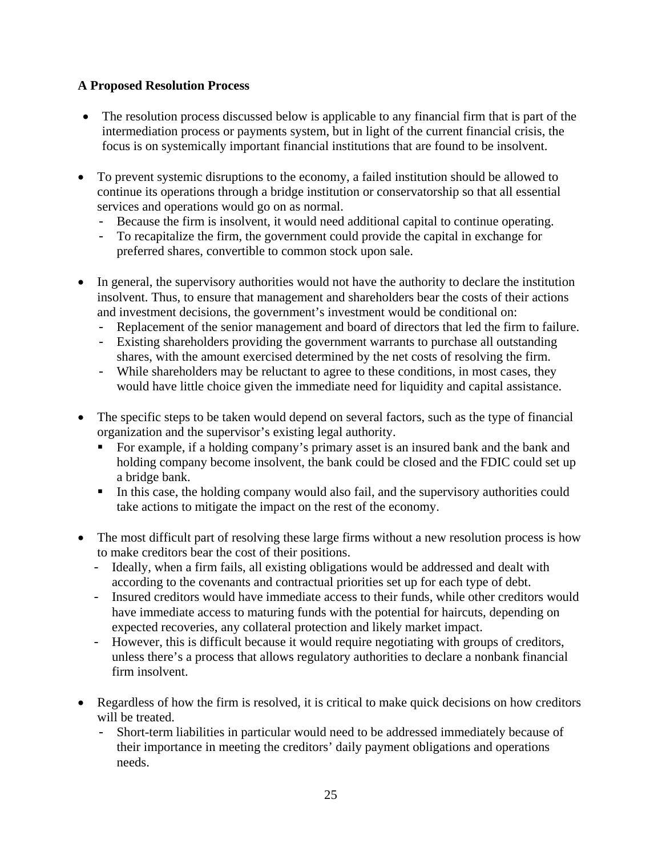# **A Proposed Resolution Process**

- The resolution process discussed below is applicable to any financial firm that is part of the intermediation process or payments system, but in light of the current financial crisis, the focus is on systemically important financial institutions that are found to be insolvent.
- To prevent systemic disruptions to the economy, a failed institution should be allowed to continue its operations through a bridge institution or conservatorship so that all essential services and operations would go on as normal.
	- Because the firm is insolvent, it would need additional capital to continue operating.
	- To recapitalize the firm, the government could provide the capital in exchange for preferred shares, convertible to common stock upon sale.
- In general, the supervisory authorities would not have the authority to declare the institution insolvent. Thus, to ensure that management and shareholders bear the costs of their actions and investment decisions, the government's investment would be conditional on:
	- Replacement of the senior management and board of directors that led the firm to failure.
	- Existing shareholders providing the government warrants to purchase all outstanding shares, with the amount exercised determined by the net costs of resolving the firm.
	- While shareholders may be reluctant to agree to these conditions, in most cases, they would have little choice given the immediate need for liquidity and capital assistance.
- The specific steps to be taken would depend on several factors, such as the type of financial organization and the supervisor's existing legal authority.
	- For example, if a holding company's primary asset is an insured bank and the bank and holding company become insolvent, the bank could be closed and the FDIC could set up a bridge bank.
	- In this case, the holding company would also fail, and the supervisory authorities could take actions to mitigate the impact on the rest of the economy.
- The most difficult part of resolving these large firms without a new resolution process is how to make creditors bear the cost of their positions.
	- Ideally, when a firm fails, all existing obligations would be addressed and dealt with according to the covenants and contractual priorities set up for each type of debt.
	- Insured creditors would have immediate access to their funds, while other creditors would have immediate access to maturing funds with the potential for haircuts, depending on expected recoveries, any collateral protection and likely market impact.
	- However, this is difficult because it would require negotiating with groups of creditors, unless there's a process that allows regulatory authorities to declare a nonbank financial firm insolvent.
- Regardless of how the firm is resolved, it is critical to make quick decisions on how creditors will be treated.
	- Short-term liabilities in particular would need to be addressed immediately because of their importance in meeting the creditors' daily payment obligations and operations needs.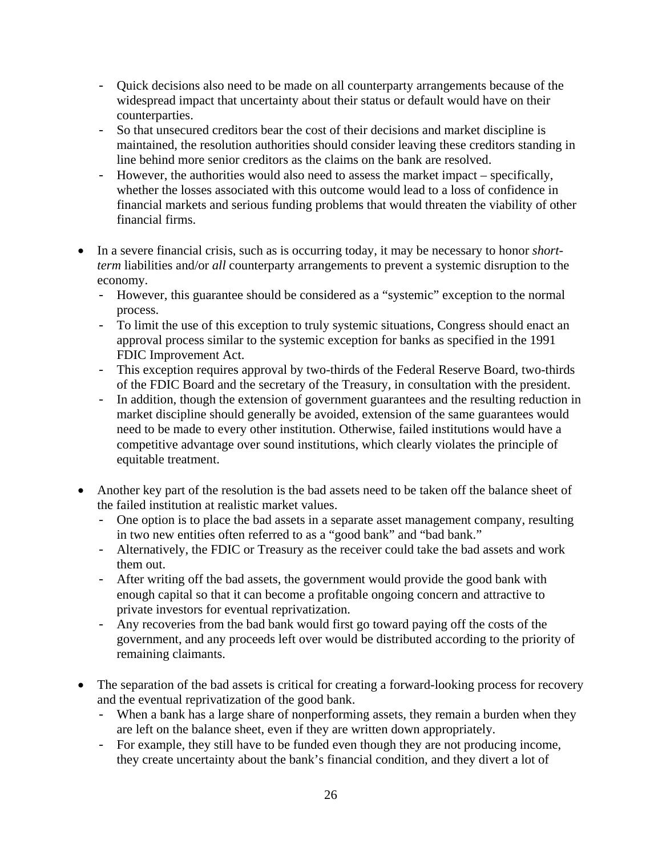- Quick decisions also need to be made on all counterparty arrangements because of the widespread impact that uncertainty about their status or default would have on their counterparties.
- So that unsecured creditors bear the cost of their decisions and market discipline is maintained, the resolution authorities should consider leaving these creditors standing in line behind more senior creditors as the claims on the bank are resolved.
- However, the authorities would also need to assess the market impact specifically, whether the losses associated with this outcome would lead to a loss of confidence in financial markets and serious funding problems that would threaten the viability of other financial firms.
- In a severe financial crisis, such as is occurring today, it may be necessary to honor *shortterm* liabilities and/or *all* counterparty arrangements to prevent a systemic disruption to the economy.
	- However, this guarantee should be considered as a "systemic" exception to the normal process.
	- To limit the use of this exception to truly systemic situations, Congress should enact an approval process similar to the systemic exception for banks as specified in the 1991 FDIC Improvement Act.
	- This exception requires approval by two-thirds of the Federal Reserve Board, two-thirds of the FDIC Board and the secretary of the Treasury, in consultation with the president.
	- In addition, though the extension of government guarantees and the resulting reduction in market discipline should generally be avoided, extension of the same guarantees would need to be made to every other institution. Otherwise, failed institutions would have a competitive advantage over sound institutions, which clearly violates the principle of equitable treatment.
- Another key part of the resolution is the bad assets need to be taken off the balance sheet of the failed institution at realistic market values.
	- One option is to place the bad assets in a separate asset management company, resulting in two new entities often referred to as a "good bank" and "bad bank."
	- Alternatively, the FDIC or Treasury as the receiver could take the bad assets and work them out.
	- After writing off the bad assets, the government would provide the good bank with enough capital so that it can become a profitable ongoing concern and attractive to private investors for eventual reprivatization.
	- Any recoveries from the bad bank would first go toward paying off the costs of the government, and any proceeds left over would be distributed according to the priority of remaining claimants.
- The separation of the bad assets is critical for creating a forward-looking process for recovery and the eventual reprivatization of the good bank.
	- When a bank has a large share of nonperforming assets, they remain a burden when they are left on the balance sheet, even if they are written down appropriately.
	- For example, they still have to be funded even though they are not producing income, they create uncertainty about the bank's financial condition, and they divert a lot of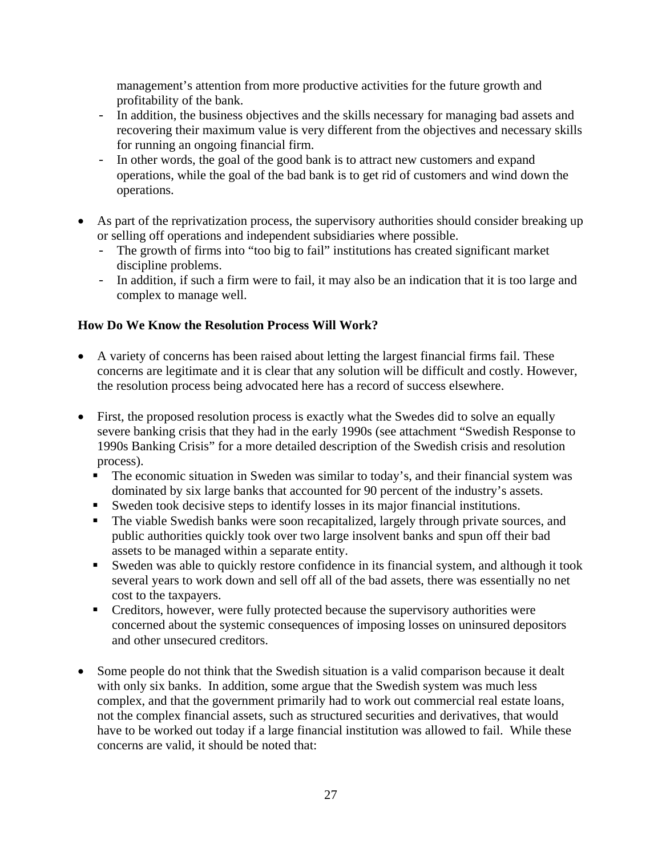management's attention from more productive activities for the future growth and profitability of the bank.

- In addition, the business objectives and the skills necessary for managing bad assets and recovering their maximum value is very different from the objectives and necessary skills for running an ongoing financial firm.
- In other words, the goal of the good bank is to attract new customers and expand operations, while the goal of the bad bank is to get rid of customers and wind down the operations.
- As part of the reprivatization process, the supervisory authorities should consider breaking up or selling off operations and independent subsidiaries where possible.
	- The growth of firms into "too big to fail" institutions has created significant market discipline problems.
	- In addition, if such a firm were to fail, it may also be an indication that it is too large and complex to manage well.

# **How Do We Know the Resolution Process Will Work?**

- A variety of concerns has been raised about letting the largest financial firms fail. These concerns are legitimate and it is clear that any solution will be difficult and costly. However, the resolution process being advocated here has a record of success elsewhere.
- First, the proposed resolution process is exactly what the Swedes did to solve an equally severe banking crisis that they had in the early 1990s (see attachment "Swedish Response to 1990s Banking Crisis" for a more detailed description of the Swedish crisis and resolution process).
	- The economic situation in Sweden was similar to today's, and their financial system was dominated by six large banks that accounted for 90 percent of the industry's assets.
	- Sweden took decisive steps to identify losses in its major financial institutions.
	- The viable Swedish banks were soon recapitalized, largely through private sources, and public authorities quickly took over two large insolvent banks and spun off their bad assets to be managed within a separate entity.
	- Sweden was able to quickly restore confidence in its financial system, and although it took several years to work down and sell off all of the bad assets, there was essentially no net cost to the taxpayers.
	- Creditors, however, were fully protected because the supervisory authorities were concerned about the systemic consequences of imposing losses on uninsured depositors and other unsecured creditors.
- Some people do not think that the Swedish situation is a valid comparison because it dealt with only six banks. In addition, some argue that the Swedish system was much less complex, and that the government primarily had to work out commercial real estate loans, not the complex financial assets, such as structured securities and derivatives, that would have to be worked out today if a large financial institution was allowed to fail. While these concerns are valid, it should be noted that: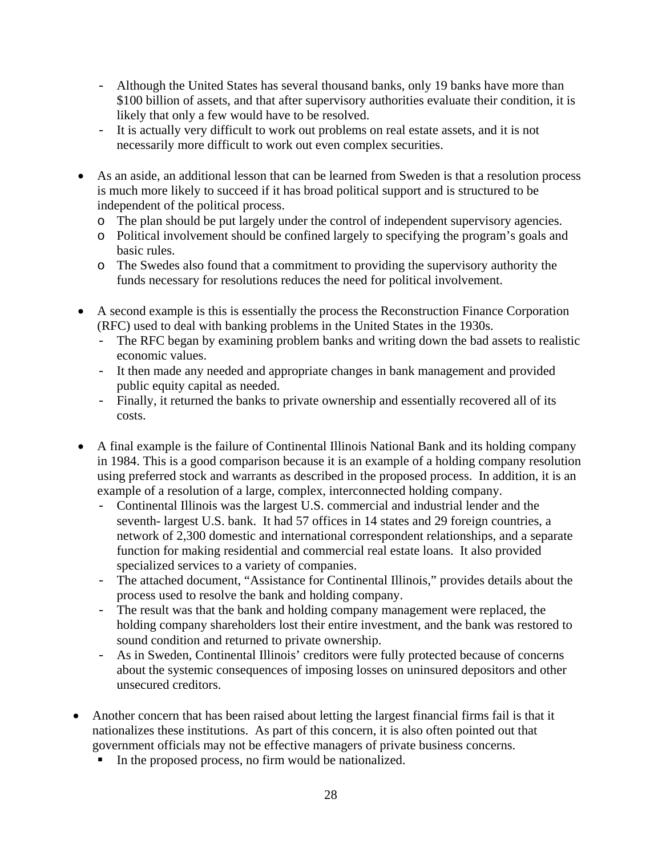- Although the United States has several thousand banks, only 19 banks have more than \$100 billion of assets, and that after supervisory authorities evaluate their condition, it is likely that only a few would have to be resolved.
- It is actually very difficult to work out problems on real estate assets, and it is not necessarily more difficult to work out even complex securities.
- As an aside, an additional lesson that can be learned from Sweden is that a resolution process is much more likely to succeed if it has broad political support and is structured to be independent of the political process.
	- o The plan should be put largely under the control of independent supervisory agencies.
	- o Political involvement should be confined largely to specifying the program's goals and basic rules.
	- o The Swedes also found that a commitment to providing the supervisory authority the funds necessary for resolutions reduces the need for political involvement.
- A second example is this is essentially the process the Reconstruction Finance Corporation (RFC) used to deal with banking problems in the United States in the 1930s.
	- The RFC began by examining problem banks and writing down the bad assets to realistic economic values.
	- It then made any needed and appropriate changes in bank management and provided public equity capital as needed.
	- Finally, it returned the banks to private ownership and essentially recovered all of its costs.
- A final example is the failure of Continental Illinois National Bank and its holding company in 1984. This is a good comparison because it is an example of a holding company resolution using preferred stock and warrants as described in the proposed process. In addition, it is an example of a resolution of a large, complex, interconnected holding company.
	- Continental Illinois was the largest U.S. commercial and industrial lender and the seventh- largest U.S. bank. It had 57 offices in 14 states and 29 foreign countries, a network of 2,300 domestic and international correspondent relationships, and a separate function for making residential and commercial real estate loans. It also provided specialized services to a variety of companies.
	- The attached document, "Assistance for Continental Illinois," provides details about the process used to resolve the bank and holding company.
	- The result was that the bank and holding company management were replaced, the holding company shareholders lost their entire investment, and the bank was restored to sound condition and returned to private ownership.
	- As in Sweden, Continental Illinois' creditors were fully protected because of concerns about the systemic consequences of imposing losses on uninsured depositors and other unsecured creditors.
- Another concern that has been raised about letting the largest financial firms fail is that it nationalizes these institutions. As part of this concern, it is also often pointed out that government officials may not be effective managers of private business concerns.
	- In the proposed process, no firm would be nationalized.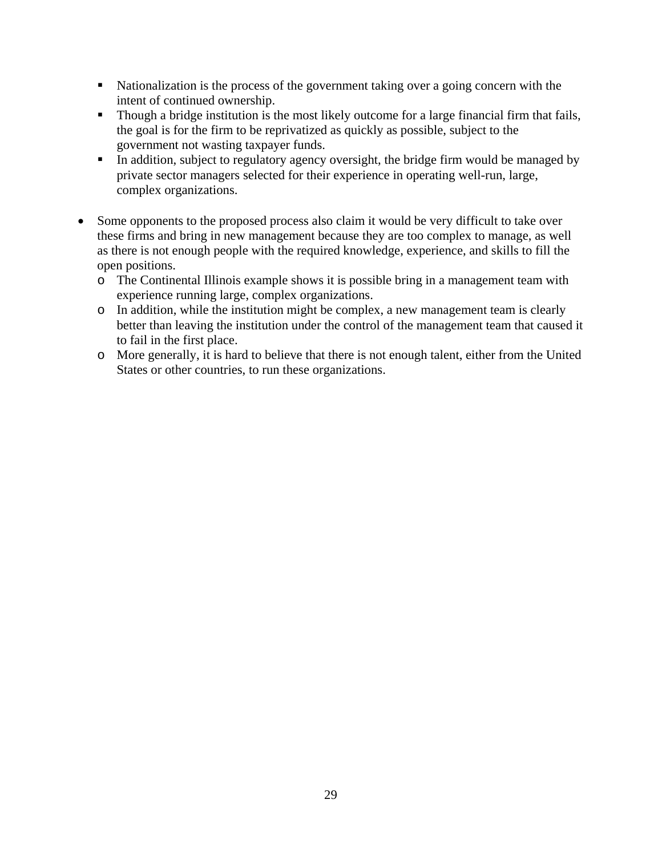- Nationalization is the process of the government taking over a going concern with the intent of continued ownership.
- Though a bridge institution is the most likely outcome for a large financial firm that fails, the goal is for the firm to be reprivatized as quickly as possible, subject to the government not wasting taxpayer funds.
- In addition, subject to regulatory agency oversight, the bridge firm would be managed by private sector managers selected for their experience in operating well-run, large, complex organizations.
- Some opponents to the proposed process also claim it would be very difficult to take over these firms and bring in new management because they are too complex to manage, as well as there is not enough people with the required knowledge, experience, and skills to fill the open positions.
	- o The Continental Illinois example shows it is possible bring in a management team with experience running large, complex organizations.
	- o In addition, while the institution might be complex, a new management team is clearly better than leaving the institution under the control of the management team that caused it to fail in the first place.
	- o More generally, it is hard to believe that there is not enough talent, either from the United States or other countries, to run these organizations.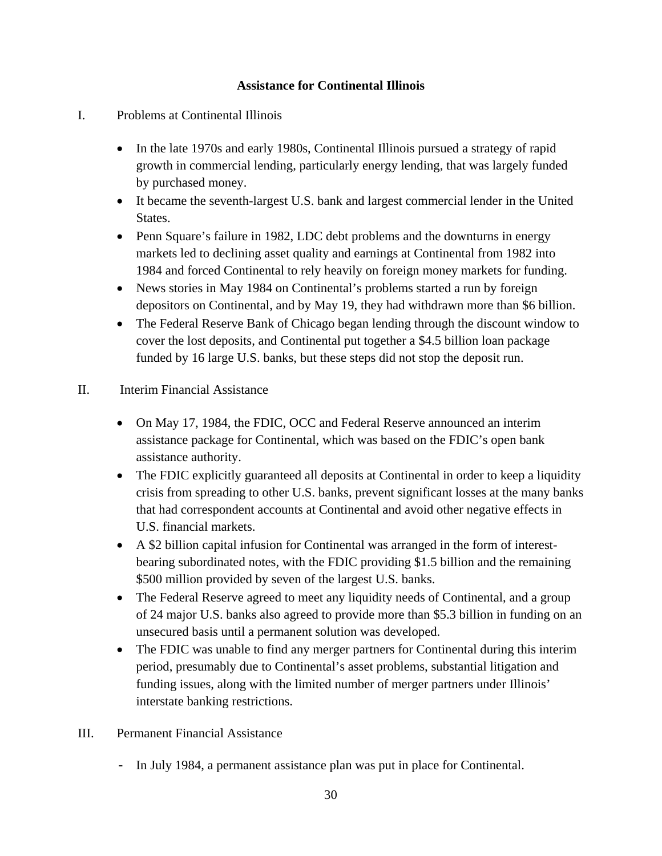## **Assistance for Continental Illinois**

- I. Problems at Continental Illinois
	- In the late 1970s and early 1980s, Continental Illinois pursued a strategy of rapid growth in commercial lending, particularly energy lending, that was largely funded by purchased money.
	- It became the seventh-largest U.S. bank and largest commercial lender in the United States.
	- Penn Square's failure in 1982, LDC debt problems and the downturns in energy markets led to declining asset quality and earnings at Continental from 1982 into 1984 and forced Continental to rely heavily on foreign money markets for funding.
	- News stories in May 1984 on Continental's problems started a run by foreign depositors on Continental, and by May 19, they had withdrawn more than \$6 billion.
	- The Federal Reserve Bank of Chicago began lending through the discount window to cover the lost deposits, and Continental put together a \$4.5 billion loan package funded by 16 large U.S. banks, but these steps did not stop the deposit run.
- II. Interim Financial Assistance
	- On May 17, 1984, the FDIC, OCC and Federal Reserve announced an interim assistance package for Continental, which was based on the FDIC's open bank assistance authority.
	- The FDIC explicitly guaranteed all deposits at Continental in order to keep a liquidity crisis from spreading to other U.S. banks, prevent significant losses at the many banks that had correspondent accounts at Continental and avoid other negative effects in U.S. financial markets.
	- A \$2 billion capital infusion for Continental was arranged in the form of interestbearing subordinated notes, with the FDIC providing \$1.5 billion and the remaining \$500 million provided by seven of the largest U.S. banks.
	- The Federal Reserve agreed to meet any liquidity needs of Continental, and a group of 24 major U.S. banks also agreed to provide more than \$5.3 billion in funding on an unsecured basis until a permanent solution was developed.
	- The FDIC was unable to find any merger partners for Continental during this interim period, presumably due to Continental's asset problems, substantial litigation and funding issues, along with the limited number of merger partners under Illinois' interstate banking restrictions.
- III. Permanent Financial Assistance
	- In July 1984, a permanent assistance plan was put in place for Continental.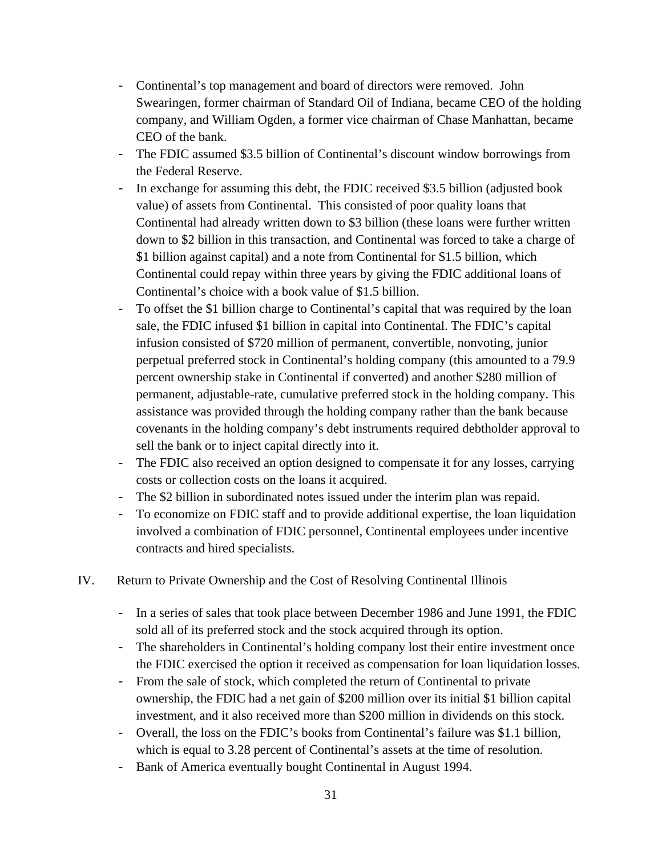- Continental's top management and board of directors were removed. John Swearingen, former chairman of Standard Oil of Indiana, became CEO of the holding company, and William Ogden, a former vice chairman of Chase Manhattan, became CEO of the bank.
- The FDIC assumed \$3.5 billion of Continental's discount window borrowings from the Federal Reserve.
- In exchange for assuming this debt, the FDIC received \$3.5 billion (adjusted book value) of assets from Continental. This consisted of poor quality loans that Continental had already written down to \$3 billion (these loans were further written down to \$2 billion in this transaction, and Continental was forced to take a charge of \$1 billion against capital) and a note from Continental for \$1.5 billion, which Continental could repay within three years by giving the FDIC additional loans of Continental's choice with a book value of \$1.5 billion.
- To offset the \$1 billion charge to Continental's capital that was required by the loan sale, the FDIC infused \$1 billion in capital into Continental. The FDIC's capital infusion consisted of \$720 million of permanent, convertible, nonvoting, junior perpetual preferred stock in Continental's holding company (this amounted to a 79.9 percent ownership stake in Continental if converted) and another \$280 million of permanent, adjustable-rate, cumulative preferred stock in the holding company. This assistance was provided through the holding company rather than the bank because covenants in the holding company's debt instruments required debtholder approval to sell the bank or to inject capital directly into it.
- The FDIC also received an option designed to compensate it for any losses, carrying costs or collection costs on the loans it acquired.
- The \$2 billion in subordinated notes issued under the interim plan was repaid.
- To economize on FDIC staff and to provide additional expertise, the loan liquidation involved a combination of FDIC personnel, Continental employees under incentive contracts and hired specialists.
- IV. Return to Private Ownership and the Cost of Resolving Continental Illinois
	- In a series of sales that took place between December 1986 and June 1991, the FDIC sold all of its preferred stock and the stock acquired through its option.
	- The shareholders in Continental's holding company lost their entire investment once the FDIC exercised the option it received as compensation for loan liquidation losses.
	- From the sale of stock, which completed the return of Continental to private ownership, the FDIC had a net gain of \$200 million over its initial \$1 billion capital investment, and it also received more than \$200 million in dividends on this stock.
	- Overall, the loss on the FDIC's books from Continental's failure was \$1.1 billion, which is equal to 3.28 percent of Continental's assets at the time of resolution.
	- Bank of America eventually bought Continental in August 1994.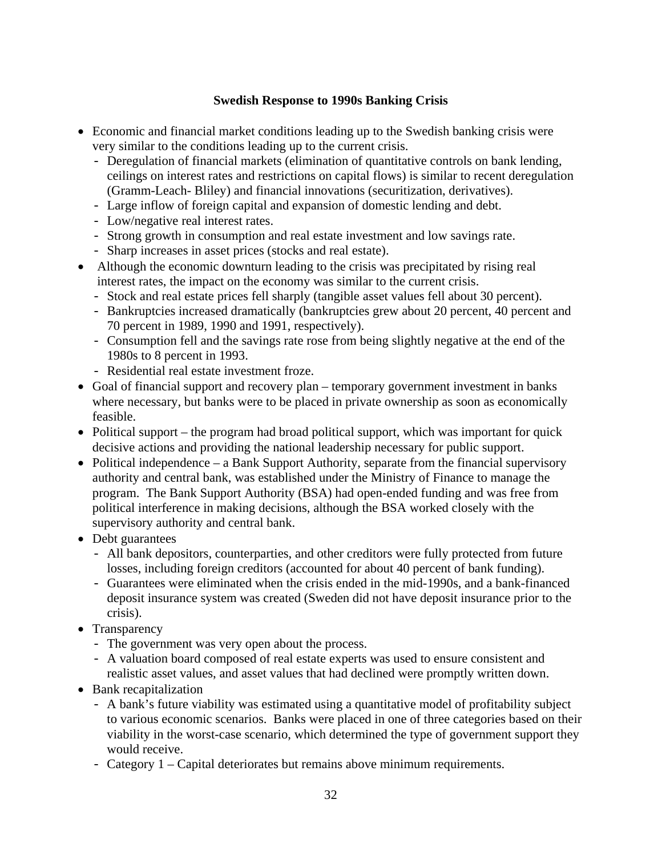#### **Swedish Response to 1990s Banking Crisis**

- Economic and financial market conditions leading up to the Swedish banking crisis were very similar to the conditions leading up to the current crisis.
	- Deregulation of financial markets (elimination of quantitative controls on bank lending, ceilings on interest rates and restrictions on capital flows) is similar to recent deregulation (Gramm-Leach- Bliley) and financial innovations (securitization, derivatives).
	- Large inflow of foreign capital and expansion of domestic lending and debt.
	- Low/negative real interest rates.
	- Strong growth in consumption and real estate investment and low savings rate.
	- Sharp increases in asset prices (stocks and real estate).
- Although the economic downturn leading to the crisis was precipitated by rising real interest rates, the impact on the economy was similar to the current crisis.
	- Stock and real estate prices fell sharply (tangible asset values fell about 30 percent).
	- Bankruptcies increased dramatically (bankruptcies grew about 20 percent, 40 percent and 70 percent in 1989, 1990 and 1991, respectively).
	- Consumption fell and the savings rate rose from being slightly negative at the end of the 1980s to 8 percent in 1993.
	- Residential real estate investment froze.
- Goal of financial support and recovery plan temporary government investment in banks where necessary, but banks were to be placed in private ownership as soon as economically feasible.
- Political support the program had broad political support, which was important for quick decisive actions and providing the national leadership necessary for public support.
- Political independence a Bank Support Authority, separate from the financial supervisory authority and central bank, was established under the Ministry of Finance to manage the program. The Bank Support Authority (BSA) had open-ended funding and was free from political interference in making decisions, although the BSA worked closely with the supervisory authority and central bank.
- Debt guarantees
	- All bank depositors, counterparties, and other creditors were fully protected from future losses, including foreign creditors (accounted for about 40 percent of bank funding).
	- Guarantees were eliminated when the crisis ended in the mid-1990s, and a bank-financed deposit insurance system was created (Sweden did not have deposit insurance prior to the crisis).
- Transparency
	- The government was very open about the process.
	- A valuation board composed of real estate experts was used to ensure consistent and realistic asset values, and asset values that had declined were promptly written down.
- Bank recapitalization
	- A bank's future viability was estimated using a quantitative model of profitability subject to various economic scenarios. Banks were placed in one of three categories based on their viability in the worst-case scenario, which determined the type of government support they would receive.
	- Category 1 Capital deteriorates but remains above minimum requirements.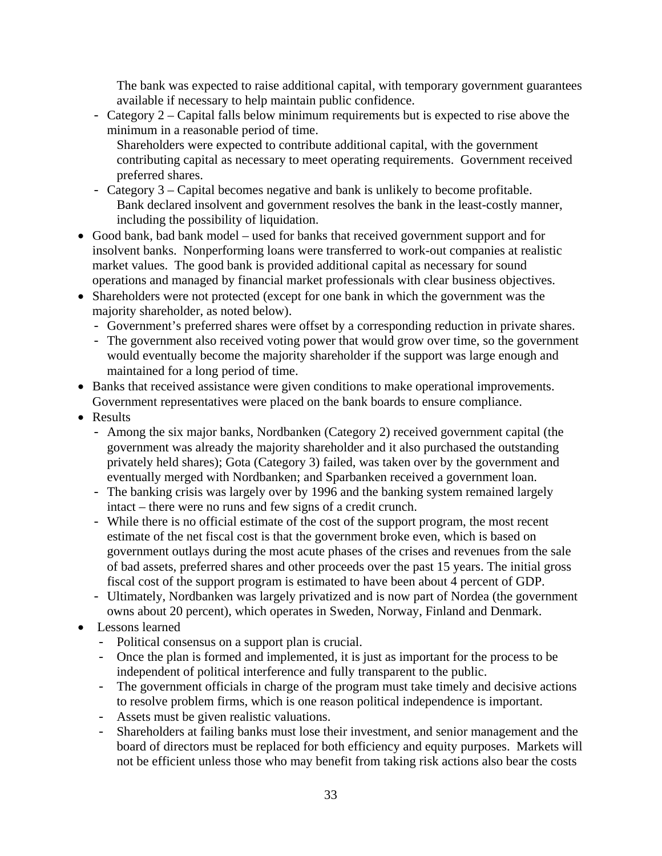The bank was expected to raise additional capital, with temporary government guarantees available if necessary to help maintain public confidence.

- Category 2 Capital falls below minimum requirements but is expected to rise above the minimum in a reasonable period of time.
	- Shareholders were expected to contribute additional capital, with the government contributing capital as necessary to meet operating requirements. Government received preferred shares.
- Category 3 Capital becomes negative and bank is unlikely to become profitable. Bank declared insolvent and government resolves the bank in the least-costly manner, including the possibility of liquidation.
- Good bank, bad bank model used for banks that received government support and for insolvent banks. Nonperforming loans were transferred to work-out companies at realistic market values. The good bank is provided additional capital as necessary for sound operations and managed by financial market professionals with clear business objectives.
- Shareholders were not protected (except for one bank in which the government was the majority shareholder, as noted below).
	- Government's preferred shares were offset by a corresponding reduction in private shares.
	- The government also received voting power that would grow over time, so the government would eventually become the majority shareholder if the support was large enough and maintained for a long period of time.
- Banks that received assistance were given conditions to make operational improvements. Government representatives were placed on the bank boards to ensure compliance.
- Results
	- Among the six major banks, Nordbanken (Category 2) received government capital (the government was already the majority shareholder and it also purchased the outstanding privately held shares); Gota (Category 3) failed, was taken over by the government and eventually merged with Nordbanken; and Sparbanken received a government loan.
	- The banking crisis was largely over by 1996 and the banking system remained largely intact – there were no runs and few signs of a credit crunch.
	- While there is no official estimate of the cost of the support program, the most recent estimate of the net fiscal cost is that the government broke even, which is based on government outlays during the most acute phases of the crises and revenues from the sale of bad assets, preferred shares and other proceeds over the past 15 years. The initial gross fiscal cost of the support program is estimated to have been about 4 percent of GDP.
	- Ultimately, Nordbanken was largely privatized and is now part of Nordea (the government owns about 20 percent), which operates in Sweden, Norway, Finland and Denmark.
- Lessons learned
	- Political consensus on a support plan is crucial.
	- Once the plan is formed and implemented, it is just as important for the process to be independent of political interference and fully transparent to the public.
	- The government officials in charge of the program must take timely and decisive actions to resolve problem firms, which is one reason political independence is important.
	- Assets must be given realistic valuations.
	- Shareholders at failing banks must lose their investment, and senior management and the board of directors must be replaced for both efficiency and equity purposes. Markets will not be efficient unless those who may benefit from taking risk actions also bear the costs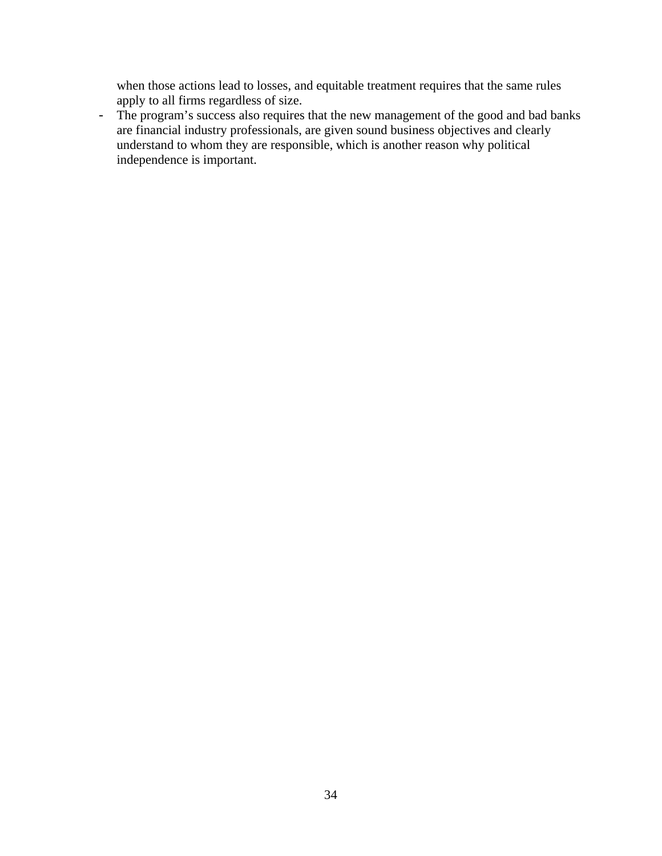when those actions lead to losses, and equitable treatment requires that the same rules apply to all firms regardless of size.

- The program's success also requires that the new management of the good and bad banks are financial industry professionals, are given sound business objectives and clearly understand to whom they are responsible, which is another reason why political independence is important.